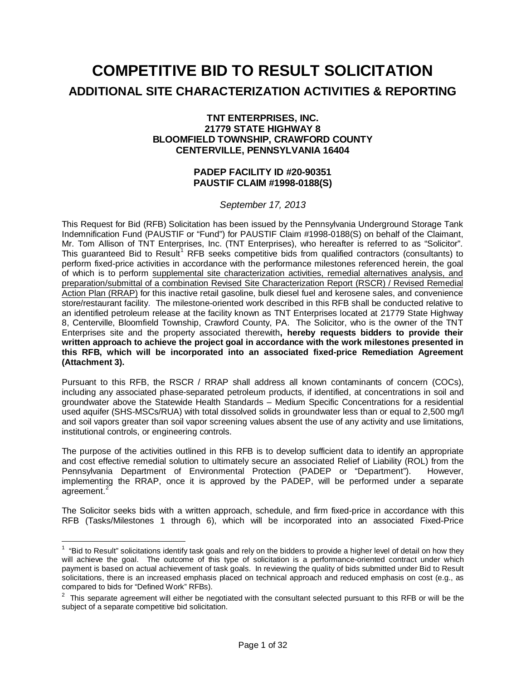# **COMPETITIVE BID TO RESULT SOLICITATION ADDITIONAL SITE CHARACTERIZATION ACTIVITIES & REPORTING**

#### **TNT ENTERPRISES, INC. 21779 STATE HIGHWAY 8 BLOOMFIELD TOWNSHIP, CRAWFORD COUNTY CENTERVILLE, PENNSYLVANIA 16404**

## **PADEP FACILITY ID #20-90351 PAUSTIF CLAIM #1998-0188(S)**

*September 17, 2013*

This Request for Bid (RFB) Solicitation has been issued by the Pennsylvania Underground Storage Tank Indemnification Fund (PAUSTIF or "Fund") for PAUSTIF Claim #1998-0188(S) on behalf of the Claimant, Mr. Tom Allison of TNT Enterprises, Inc. (TNT Enterprises), who hereafter is referred to as "Solicitor". This guaranteed Bid to Result<sup>[1](#page-0-0)</sup> RFB seeks competitive bids from qualified contractors (consultants) to perform fixed-price activities in accordance with the performance milestones referenced herein, the goal of which is to perform supplemental site characterization activities, remedial alternatives analysis, and preparation/submittal of a combination Revised Site Characterization Report (RSCR) / Revised Remedial Action Plan (RRAP) for this inactive retail gasoline, bulk diesel fuel and kerosene sales, and convenience store/restaurant facility. The milestone-oriented work described in this RFB shall be conducted relative to an identified petroleum release at the facility known as TNT Enterprises located at 21779 State Highway 8, Centerville, Bloomfield Township, Crawford County, PA.The Solicitor, who is the owner of the TNT Enterprises site and the property associated therewith**, hereby requests bidders to provide their written approach to achieve the project goal in accordance with the work milestones presented in this RFB, which will be incorporated into an associated fixed-price Remediation Agreement (Attachment 3).**

Pursuant to this RFB, the RSCR / RRAP shall address all known contaminants of concern (COCs), including any associated phase-separated petroleum products, if identified, at concentrations in soil and groundwater above the Statewide Health Standards – Medium Specific Concentrations for a residential used aquifer (SHS-MSCs/RUA) with total dissolved solids in groundwater less than or equal to 2,500 mg/l and soil vapors greater than soil vapor screening values absent the use of any activity and use limitations, institutional controls, or engineering controls.

The purpose of the activities outlined in this RFB is to develop sufficient data to identify an appropriate and cost effective remedial solution to ultimately secure an associated Relief of Liability (ROL) from the Pennsylvania Department of Environmental Protection (PADEP or "Department"). However, implementing the RRAP, once it is approved by the PADEP, will be performed under a separate agreement.<sup>[2](#page-0-1)</sup>

The Solicitor seeks bids with a written approach, schedule, and firm fixed-price in accordance with this RFB (Tasks/Milestones 1 through 6), which will be incorporated into an associated Fixed-Price

<span id="page-0-0"></span> $\frac{1}{1}$  $1$  "Bid to Result" solicitations identify task goals and rely on the bidders to provide a higher level of detail on how they will achieve the goal. The outcome of this type of solicitation is a performance-oriented contract under which payment is based on actual achievement of task goals. In reviewing the quality of bids submitted under Bid to Result solicitations, there is an increased emphasis placed on technical approach and reduced emphasis on cost (e.g., as compared to bids for "Defined Work" RFBs).

<span id="page-0-2"></span><span id="page-0-1"></span> $2$  This separate agreement will either be negotiated with the consultant selected pursuant to this RFB or will be the subject of a separate competitive bid solicitation.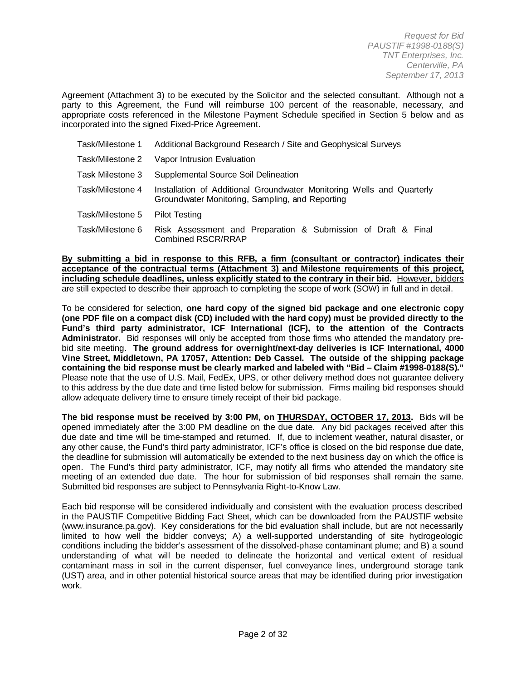Agreement (Attachment 3) to be executed by the Solicitor and the selected consultant. Although not a party to this Agreement, the Fund will reimburse 100 percent of the reasonable, necessary, and appropriate costs referenced in the Milestone Payment Schedule specified in Section 5 below and as incorporated into the signed Fixed-Price Agreement.

| Task/Milestone 1 | Additional Background Research / Site and Geophysical Surveys                                                            |  |
|------------------|--------------------------------------------------------------------------------------------------------------------------|--|
| Task/Milestone 2 | Vapor Intrusion Evaluation                                                                                               |  |
| Task Milestone 3 | Supplemental Source Soil Delineation                                                                                     |  |
| Task/Milestone 4 | Installation of Additional Groundwater Monitoring Wells and Quarterly<br>Groundwater Monitoring, Sampling, and Reporting |  |
| Task/Milestone 5 | <b>Pilot Testing</b>                                                                                                     |  |
| Task/Milestone 6 | Risk Assessment and Preparation & Submission of Draft & Final<br><b>Combined RSCR/RRAP</b>                               |  |

**By submitting a bid in response to this RFB, a firm (consultant or contractor) indicates their acceptance of the contractual terms (Attachment 3) and Milestone requirements of this project, including schedule deadlines, unless explicitly stated to the contrary in their bid.** However, bidders are still expected to describe their approach to completing the scope of work (SOW) in full and in detail.

To be considered for selection, **one hard copy of the signed bid package and one electronic copy (one PDF file on a compact disk (CD) included with the hard copy) must be provided directly to the Fund's third party administrator, ICF International (ICF), to the attention of the Contracts Administrator.** Bid responses will only be accepted from those firms who attended the mandatory prebid site meeting. **The ground address for overnight/next-day deliveries is ICF International, 4000 Vine Street, Middletown, PA 17057, Attention: Deb Cassel. The outside of the shipping package containing the bid response must be clearly marked and labeled with "Bid – Claim #1998-0188(S)."** Please note that the use of U.S. Mail, FedEx, UPS, or other delivery method does not guarantee delivery to this address by the due date and time listed below for submission. Firms mailing bid responses should allow adequate delivery time to ensure timely receipt of their bid package.

**The bid response must be received by 3:00 PM, on THURSDAY, OCTOBER 17, 2013.** Bids will be opened immediately after the 3:00 PM deadline on the due date. Any bid packages received after this due date and time will be time-stamped and returned. If, due to inclement weather, natural disaster, or any other cause, the Fund's third party administrator, ICF's office is closed on the bid response due date, the deadline for submission will automatically be extended to the next business day on which the office is open. The Fund's third party administrator, ICF, may notify all firms who attended the mandatory site meeting of an extended due date. The hour for submission of bid responses shall remain the same. Submitted bid responses are subject to Pennsylvania Right-to-Know Law.

Each bid response will be considered individually and consistent with the evaluation process described in the PAUSTIF Competitive Bidding Fact Sheet, which can be downloaded from the PAUSTIF website (www.insurance.pa.gov). Key considerations for the bid evaluation shall include, but are not necessarily limited to how well the bidder conveys; A) a well-supported understanding of site hydrogeologic conditions including the bidder's assessment of the dissolved-phase contaminant plume; and B) a sound understanding of what will be needed to delineate the horizontal and vertical extent of residual contaminant mass in soil in the current dispenser, fuel conveyance lines, underground storage tank (UST) area, and in other potential historical source areas that may be identified during prior investigation work.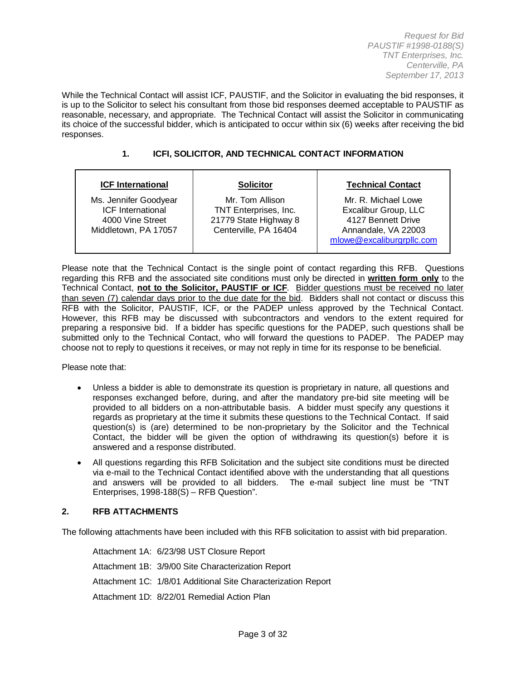While the Technical Contact will assist ICF, PAUSTIF, and the Solicitor in evaluating the bid responses, it is up to the Solicitor to select his consultant from those bid responses deemed acceptable to PAUSTIF as reasonable, necessary, and appropriate. The Technical Contact will assist the Solicitor in communicating its choice of the successful bidder, which is anticipated to occur within six (6) weeks after receiving the bid responses.

## **1. ICFI, SOLICITOR, AND TECHNICAL CONTACT INFORMATION**

| <b>ICF International</b>                                                                      | <b>Solicitor</b>                                                                           | <b>Technical Contact</b>                                                                                              |
|-----------------------------------------------------------------------------------------------|--------------------------------------------------------------------------------------------|-----------------------------------------------------------------------------------------------------------------------|
| Ms. Jennifer Goodyear<br><b>ICF</b> International<br>4000 Vine Street<br>Middletown, PA 17057 | Mr. Tom Allison<br>TNT Enterprises, Inc.<br>21779 State Highway 8<br>Centerville, PA 16404 | Mr. R. Michael Lowe<br>Excalibur Group, LLC<br>4127 Bennett Drive<br>Annandale, VA 22003<br>mlowe@excaliburgrpllc.com |

Please note that the Technical Contact is the single point of contact regarding this RFB. Questions regarding this RFB and the associated site conditions must only be directed in **written form only** to the Technical Contact, **not to the Solicitor, PAUSTIF or ICF**. Bidder questions must be received no later than seven (7) calendar days prior to the due date for the bid. Bidders shall not contact or discuss this RFB with the Solicitor, PAUSTIF, ICF, or the PADEP unless approved by the Technical Contact. However, this RFB may be discussed with subcontractors and vendors to the extent required for preparing a responsive bid. If a bidder has specific questions for the PADEP, such questions shall be submitted only to the Technical Contact, who will forward the questions to PADEP. The PADEP may choose not to reply to questions it receives, or may not reply in time for its response to be beneficial.

Please note that:

- Unless a bidder is able to demonstrate its question is proprietary in nature, all questions and responses exchanged before, during, and after the mandatory pre-bid site meeting will be provided to all bidders on a non-attributable basis. A bidder must specify any questions it regards as proprietary at the time it submits these questions to the Technical Contact. If said question(s) is (are) determined to be non-proprietary by the Solicitor and the Technical Contact, the bidder will be given the option of withdrawing its question(s) before it is answered and a response distributed.
- All questions regarding this RFB Solicitation and the subject site conditions must be directed via e-mail to the Technical Contact identified above with the understanding that all questions and answers will be provided to all bidders. The e-mail subject line must be "TNT Enterprises, 1998-188(S) – RFB Question".

#### **2. RFB ATTACHMENTS**

The following attachments have been included with this RFB solicitation to assist with bid preparation.

Attachment 1A: 6/23/98 UST Closure Report Attachment 1B: 3/9/00 Site Characterization Report Attachment 1C: 1/8/01 Additional Site Characterization Report Attachment 1D: 8/22/01 Remedial Action Plan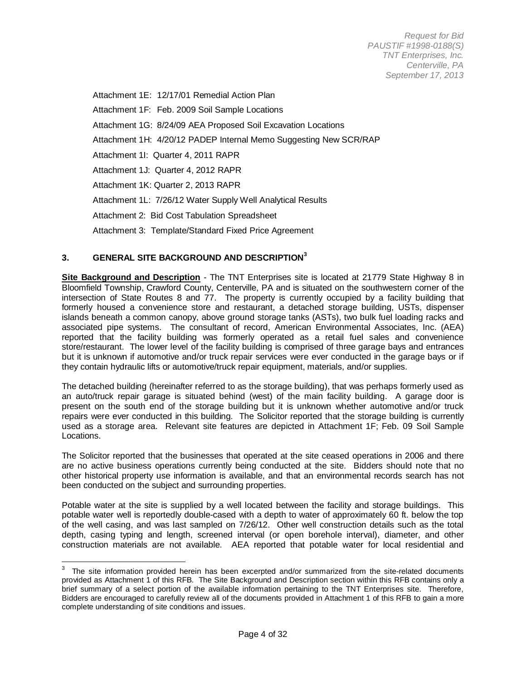Attachment 1E: 12/17/01 Remedial Action Plan

Attachment 1F: Feb. 2009 Soil Sample Locations

Attachment 1G: 8/24/09 AEA Proposed Soil Excavation Locations

Attachment 1H: 4/20/12 PADEP Internal Memo Suggesting New SCR/RAP

Attachment 1I: Quarter 4, 2011 RAPR

Attachment 1J: Quarter 4, 2012 RAPR

Attachment 1K: Quarter 2, 2013 RAPR

Attachment 1L: 7/26/12 Water Supply Well Analytical Results

Attachment 2: Bid Cost Tabulation Spreadsheet

Attachment 3: Template/Standard Fixed Price Agreement

#### **3. GENERAL SITE BACKGROUND AND DESCRIPTION[3](#page-0-2)**

**Site Background and Description** - The TNT Enterprises site is located at 21779 State Highway 8 in Bloomfield Township, Crawford County, Centerville, PA and is situated on the southwestern corner of the intersection of State Routes 8 and 77. The property is currently occupied by a facility building that formerly housed a convenience store and restaurant, a detached storage building, USTs, dispenser islands beneath a common canopy, above ground storage tanks (ASTs), two bulk fuel loading racks and associated pipe systems. The consultant of record, American Environmental Associates, Inc. (AEA) reported that the facility building was formerly operated as a retail fuel sales and convenience store/restaurant. The lower level of the facility building is comprised of three garage bays and entrances but it is unknown if automotive and/or truck repair services were ever conducted in the garage bays or if they contain hydraulic lifts or automotive/truck repair equipment, materials, and/or supplies.

The detached building (hereinafter referred to as the storage building), that was perhaps formerly used as an auto/truck repair garage is situated behind (west) of the main facility building. A garage door is present on the south end of the storage building but it is unknown whether automotive and/or truck repairs were ever conducted in this building. The Solicitor reported that the storage building is currently used as a storage area. Relevant site features are depicted in Attachment 1F; Feb. 09 Soil Sample Locations.

The Solicitor reported that the businesses that operated at the site ceased operations in 2006 and there are no active business operations currently being conducted at the site. Bidders should note that no other historical property use information is available, and that an environmental records search has not been conducted on the subject and surrounding properties.

Potable water at the site is supplied by a well located between the facility and storage buildings. This potable water well is reportedly double-cased with a depth to water of approximately 60 ft. below the top of the well casing, and was last sampled on 7/26/12. Other well construction details such as the total depth, casing typing and length, screened interval (or open borehole interval), diameter, and other construction materials are not available. AEA reported that potable water for local residential and

<span id="page-3-0"></span> $3$  The site information provided herein has been excerpted and/or summarized from the site-related documents provided as Attachment 1 of this RFB. The Site Background and Description section within this RFB contains only a brief summary of a select portion of the available information pertaining to the TNT Enterprises site. Therefore, Bidders are encouraged to carefully review all of the documents provided in Attachment 1 of this RFB to gain a more complete understanding of site conditions and issues.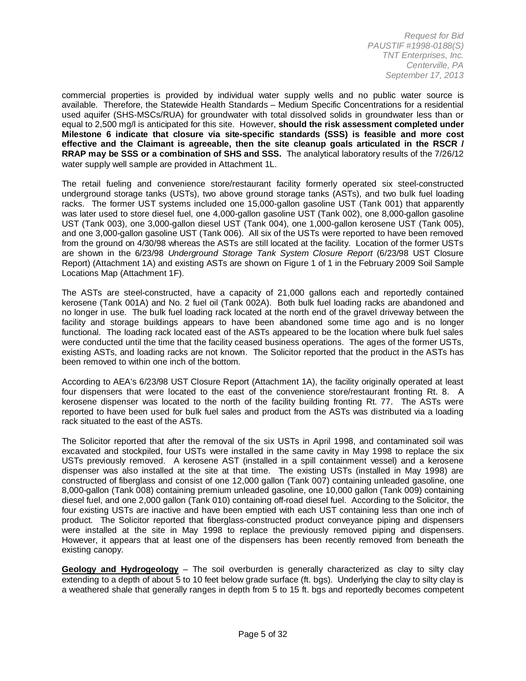commercial properties is provided by individual water supply wells and no public water source is available. Therefore, the Statewide Health Standards – Medium Specific Concentrations for a residential used aquifer (SHS-MSCs/RUA) for groundwater with total dissolved solids in groundwater less than or equal to 2,500 mg/l is anticipated for this site. However, **should the risk assessment completed under Milestone 6 indicate that closure via site-specific standards (SSS) is feasible and more cost effective and the Claimant is agreeable, then the site cleanup goals articulated in the RSCR / RRAP may be SSS or a combination of SHS and SSS.** The analytical laboratory results of the 7/26/12 water supply well sample are provided in Attachment 1L.

The retail fueling and convenience store/restaurant facility formerly operated six steel-constructed underground storage tanks (USTs), two above ground storage tanks (ASTs), and two bulk fuel loading racks. The former UST systems included one 15,000-gallon gasoline UST (Tank 001) that apparently was later used to store diesel fuel, one 4,000-gallon gasoline UST (Tank 002), one 8,000-gallon gasoline UST (Tank 003), one 3,000-gallon diesel UST (Tank 004), one 1,000-gallon kerosene UST (Tank 005), and one 3,000-gallon gasoline UST (Tank 006). All six of the USTs were reported to have been removed from the ground on 4/30/98 whereas the ASTs are still located at the facility. Location of the former USTs are shown in the 6/23/98 *Underground Storage Tank System Closure Report* (6/23/98 UST Closure Report) (Attachment 1A) and existing ASTs are shown on Figure 1 of 1 in the February 2009 Soil Sample Locations Map (Attachment 1F).

The ASTs are steel-constructed, have a capacity of 21,000 gallons each and reportedly contained kerosene (Tank 001A) and No. 2 fuel oil (Tank 002A). Both bulk fuel loading racks are abandoned and no longer in use. The bulk fuel loading rack located at the north end of the gravel driveway between the facility and storage buildings appears to have been abandoned some time ago and is no longer functional. The loading rack located east of the ASTs appeared to be the location where bulk fuel sales were conducted until the time that the facility ceased business operations. The ages of the former USTs, existing ASTs, and loading racks are not known. The Solicitor reported that the product in the ASTs has been removed to within one inch of the bottom.

According to AEA's 6/23/98 UST Closure Report (Attachment 1A), the facility originally operated at least four dispensers that were located to the east of the convenience store/restaurant fronting Rt. 8. A kerosene dispenser was located to the north of the facility building fronting Rt. 77. The ASTs were reported to have been used for bulk fuel sales and product from the ASTs was distributed via a loading rack situated to the east of the ASTs.

The Solicitor reported that after the removal of the six USTs in April 1998, and contaminated soil was excavated and stockpiled, four USTs were installed in the same cavity in May 1998 to replace the six USTs previously removed. A kerosene AST (installed in a spill containment vessel) and a kerosene dispenser was also installed at the site at that time. The existing USTs (installed in May 1998) are constructed of fiberglass and consist of one 12,000 gallon (Tank 007) containing unleaded gasoline, one 8,000-gallon (Tank 008) containing premium unleaded gasoline, one 10,000 gallon (Tank 009) containing diesel fuel, and one 2,000 gallon (Tank 010) containing off-road diesel fuel. According to the Solicitor, the four existing USTs are inactive and have been emptied with each UST containing less than one inch of product. The Solicitor reported that fiberglass-constructed product conveyance piping and dispensers were installed at the site in May 1998 to replace the previously removed piping and dispensers. However, it appears that at least one of the dispensers has been recently removed from beneath the existing canopy.

**Geology and Hydrogeology** – The soil overburden is generally characterized as clay to silty clay extending to a depth of about 5 to 10 feet below grade surface (ft. bgs). Underlying the clay to silty clay is a weathered shale that generally ranges in depth from 5 to 15 ft. bgs and reportedly becomes competent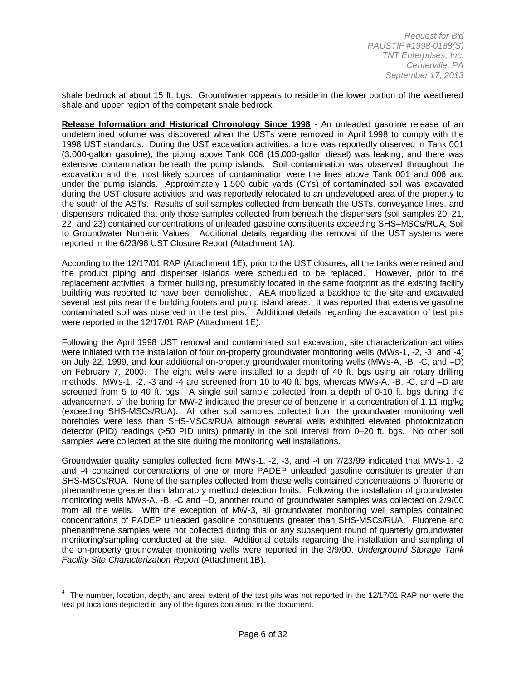shale bedrock at about 15 ft. bgs. Groundwater appears to reside in the lower portion of the weathered shale and upper region of the competent shale bedrock.

**Release Information and Historical Chronology Since 1998** - An unleaded gasoline release of an undetermined volume was discovered when the USTs were removed in April 1998 to comply with the 1998 UST standards. During the UST excavation activities, a hole was reportedly observed in Tank 001 (3,000-gallon gasoline), the piping above Tank 006 (15,000-gallon diesel) was leaking, and there was extensive contamination beneath the pump islands. Soil contamination was observed throughout the excavation and the most likely sources of contamination were the lines above Tank 001 and 006 and under the pump islands. Approximately 1,500 cubic yards (CYs) of contaminated soil was excavated during the UST closure activities and was reportedly relocated to an undeveloped area of the property to the south of the ASTs. Results of soil samples collected from beneath the USTs, conveyance lines, and dispensers indicated that only those samples collected from beneath the dispensers (soil samples 20, 21, 22, and 23) contained concentrations of unleaded gasoline constituents exceeding SHS–MSCs/RUA, Soil to Groundwater Numeric Values. Additional details regarding the removal of the UST systems were reported in the 6/23/98 UST Closure Report (Attachment 1A).

According to the 12/17/01 RAP (Attachment 1E), prior to the UST closures, all the tanks were relined and the product piping and dispenser islands were scheduled to be replaced. However, prior to the replacement activities, a former building, presumably located in the same footprint as the existing facility building was reported to have been demolished. AEA mobilized a backhoe to the site and excavated several test pits near the building footers and pump island areas. It was reported that extensive gasoline contaminated soil was observed in the test pits.<sup>[4](#page-3-0)</sup> Additional details regarding the excavation of test pits were reported in the 12/17/01 RAP (Attachment 1E).

Following the April 1998 UST removal and contaminated soil excavation, site characterization activities were initiated with the installation of four on-property groundwater monitoring wells (MWs-1, -2, -3, and -4) on July 22, 1999, and four additional on-property groundwater monitoring wells (MWs-A, -B, -C, and –D) on February 7, 2000. The eight wells were installed to a depth of 40 ft. bgs using air rotary drilling methods. MWs-1, -2, -3 and -4 are screened from 10 to 40 ft. bgs, whereas MWs-A, -B, -C, and –D are screened from 5 to 40 ft. bgs. A single soil sample collected from a depth of 0-10 ft. bgs during the advancement of the boring for MW-2 indicated the presence of benzene in a concentration of 1.11 mg/kg (exceeding SHS-MSCs/RUA). All other soil samples collected from the groundwater monitoring well boreholes were less than SHS-MSCs/RUA although several wells exhibited elevated photoionization detector (PID) readings (>50 PID units) primarily in the soil interval from 0–20 ft. bgs. No other soil samples were collected at the site during the monitoring well installations.

<span id="page-5-0"></span>Groundwater quality samples collected from MWs-1, -2, -3, and -4 on 7/23/99 indicated that MWs-1, -2 and -4 contained concentrations of one or more PADEP unleaded gasoline constituents greater than SHS-MSCs/RUA. None of the samples collected from these wells contained concentrations of fluorene or phenanthrene greater than laboratory method detection limits. Following the installation of groundwater monitoring wells MWs-A, -B, -C and –D, another round of groundwater samples was collected on 2/9/00 from all the wells. With the exception of MW-3, all groundwater monitoring well samples contained concentrations of PADEP unleaded gasoline constituents greater than SHS-MSCs/RUA. Fluorene and phenanthrene samples were not collected during this or any subsequent round of quarterly groundwater monitoring/sampling conducted at the site. Additional details regarding the installation and sampling of the on-property groundwater monitoring wells were reported in the 3/9/00, *Underground Storage Tank Facility Site Characterization Report* (Attachment 1B).

 $\frac{1}{4}$  $4$  The number, location, depth, and areal extent of the test pits was not reported in the 12/17/01 RAP nor were the test pit locations depicted in any of the figures contained in the document.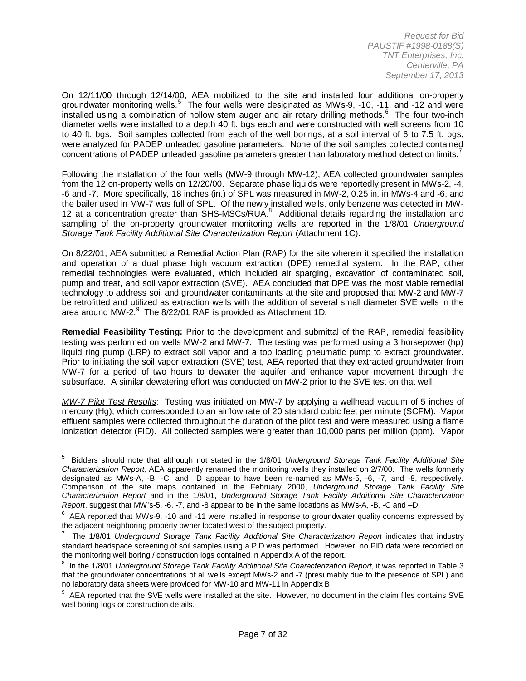On 12/11/00 through 12/14/00, AEA mobilized to the site and installed four additional on-property groundwater monitoring wells.<sup>[5](#page-5-0)</sup> The four wells were designated as MWs-9, -10, -11, and -12 and were installed using a combination of hollow stem auger and air rotary drilling methods. [6](#page-6-0) The four two-inch diameter wells were installed to a depth 40 ft. bas each and were constructed with well screens from 10 to 40 ft. bgs. Soil samples collected from each of the well borings, at a soil interval of 6 to 7.5 ft. bgs, were analyzed for PADEP unleaded gasoline parameters. None of the soil samples collected contained concentrations of PADEP unleaded gasoline parameters greater than laboratory method detection limits.

Following the installation of the four wells (MW-9 through MW-12), AEA collected groundwater samples from the 12 on-property wells on 12/20/00. Separate phase liquids were reportedly present in MWs-2, -4, -6 and -7. More specifically, 18 inches (in.) of SPL was measured in MW-2, 0.25 in. in MWs-4 and -6, and the bailer used in MW-7 was full of SPL. Of the newly installed wells, only benzene was detected in MW-12 at a concentration greater than SHS-MSCs/RUA.<sup>[8](#page-6-2)</sup> Additional details regarding the installation and sampling of the on-property groundwater monitoring wells are reported in the 1/8/01 *Underground Storage Tank Facility Additional Site Characterization Report* (Attachment 1C).

On 8/22/01, AEA submitted a Remedial Action Plan (RAP) for the site wherein it specified the installation and operation of a dual phase high vacuum extraction (DPE) remedial system. In the RAP, other remedial technologies were evaluated, which included air sparging, excavation of contaminated soil, pump and treat, and soil vapor extraction (SVE). AEA concluded that DPE was the most viable remedial technology to address soil and groundwater contaminants at the site and proposed that MW-2 and MW-7 be retrofitted and utilized as extraction wells with the addition of several small diameter SVE wells in the area around MW-2. $^9$  $^9$  The 8/22/01 RAP is provided as Attachment 1D.

**Remedial Feasibility Testing:** Prior to the development and submittal of the RAP, remedial feasibility testing was performed on wells MW-2 and MW-7. The testing was performed using a 3 horsepower (hp) liquid ring pump (LRP) to extract soil vapor and a top loading pneumatic pump to extract groundwater. Prior to initiating the soil vapor extraction (SVE) test, AEA reported that they extracted groundwater from MW-7 for a period of two hours to dewater the aquifer and enhance vapor movement through the subsurface. A similar dewatering effort was conducted on MW-2 prior to the SVE test on that well.

*MW-7 Pilot Test Results*: Testing was initiated on MW-7 by applying a wellhead vacuum of 5 inches of mercury (Hg), which corresponded to an airflow rate of 20 standard cubic feet per minute (SCFM). Vapor effluent samples were collected throughout the duration of the pilot test and were measured using a flame ionization detector (FID). All collected samples were greater than 10,000 parts per million (ppm). Vapor

5 Bidders should note that although not stated in the 1/8/01 *Underground Storage Tank Facility Additional Site Characterization Report,* AEA apparently renamed the monitoring wells they installed on 2/7/00. The wells formerly designated as MWs-A, -B, -C, and –D appear to have been re-named as MWs-5, -6, -7, and -8, respectively. Comparison of the site maps contained in the February 2000, *Underground Storage Tank Facility Site Characterization Report* and in the 1/8/01, *Underground Storage Tank Facility Additional Site Characterization Report*, suggest that MW's-5, -6, -7, and -8 appear to be in the same locations as MWs-A, -B, -C and –D.

<span id="page-6-0"></span> $^6$  AEA reported that MWs-9, -10 and -11 were installed in response to groundwater quality concerns expressed by the adjacent neighboring property owner located west of the subject property.

<span id="page-6-4"></span><span id="page-6-1"></span><sup>&</sup>lt;sup>7</sup> The 1/8/01 *Underground Storage Tank Facility Additional Site Characterization Report* indicates that industry standard headspace screening of soil samples using a PID was performed. However, no PID data were recorded on the monitoring well boring / construction logs contained in Appendix A of the report.

<span id="page-6-2"></span><sup>&</sup>lt;sup>8</sup> In the 1/8/01 *Underground Storage Tank Facility Additional Site Characterization Report*, it was reported in Table 3 that the groundwater concentrations of all wells except MWs-2 and -7 (presumably due to the presence of SPL) and no laboratory data sheets were provided for MW-10 and MW-11 in Appendix B.

<span id="page-6-3"></span> $^9$  AEA reported that the SVE wells were installed at the site. However, no document in the claim files contains SVE well boring logs or construction details.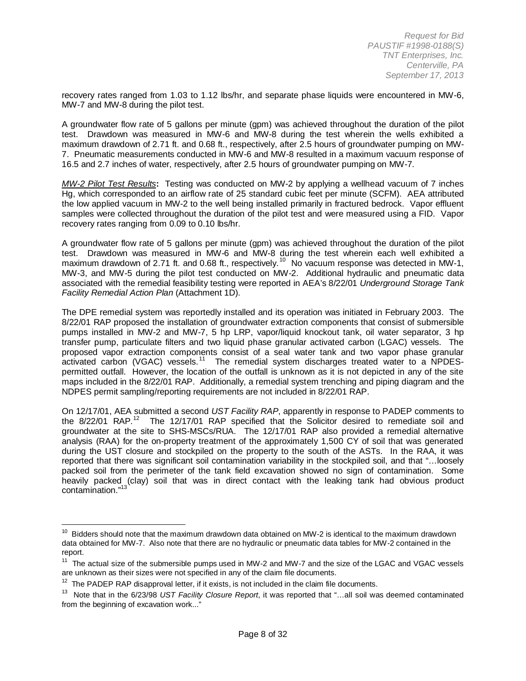recovery rates ranged from 1.03 to 1.12 lbs/hr, and separate phase liquids were encountered in MW-6, MW-7 and MW-8 during the pilot test.

A groundwater flow rate of 5 gallons per minute (gpm) was achieved throughout the duration of the pilot test. Drawdown was measured in MW-6 and MW-8 during the test wherein the wells exhibited a maximum drawdown of 2.71 ft. and 0.68 ft., respectively, after 2.5 hours of groundwater pumping on MW-7. Pneumatic measurements conducted in MW-6 and MW-8 resulted in a maximum vacuum response of 16.5 and 2.7 inches of water, respectively, after 2.5 hours of groundwater pumping on MW-7.

*MW-2 Pilot Test Results***:** Testing was conducted on MW-2 by applying a wellhead vacuum of 7 inches Hg, which corresponded to an airflow rate of 25 standard cubic feet per minute (SCFM). AEA attributed the low applied vacuum in MW-2 to the well being installed primarily in fractured bedrock. Vapor effluent samples were collected throughout the duration of the pilot test and were measured using a FID. Vapor recovery rates ranging from 0.09 to 0.10 lbs/hr.

A groundwater flow rate of 5 gallons per minute (gpm) was achieved throughout the duration of the pilot test. Drawdown was measured in MW-6 and MW-8 during the test wherein each well exhibited a maximum drawdown of 2.71 ft. and 0.68 ft., respectively.<sup>10</sup> No vacuum response was detected in MW-1, MW-3, and MW-5 during the pilot test conducted on MW-2. Additional hydraulic and pneumatic data associated with the remedial feasibility testing were reported in AEA's 8/22/01 *Underground Storage Tank Facility Remedial Action Plan* (Attachment 1D).

The DPE remedial system was reportedly installed and its operation was initiated in February 2003. The 8/22/01 RAP proposed the installation of groundwater extraction components that consist of submersible pumps installed in MW-2 and MW-7, 5 hp LRP, vapor/liquid knockout tank, oil water separator, 3 hp transfer pump, particulate filters and two liquid phase granular activated carbon (LGAC) vessels. The proposed vapor extraction components consist of a seal water tank and two vapor phase granular activated carbon (VGAC) vessels.<sup>[11](#page-7-0)</sup> The remedial system discharges treated water to a NPDESpermitted outfall. However, the location of the outfall is unknown as it is not depicted in any of the site maps included in the 8/22/01 RAP. Additionally, a remedial system trenching and piping diagram and the NDPES permit sampling/reporting requirements are not included in 8/22/01 RAP.

On 12/17/01, AEA submitted a second *UST Facility RAP*, apparently in response to PADEP comments to the  $8/22/01$  RAP.<sup>[12](#page-7-1)</sup> The 12/17/01 RAP specified that the Solicitor desired to remediate soil and groundwater at the site to SHS-MSCs/RUA. The 12/17/01 RAP also provided a remedial alternative analysis (RAA) for the on-property treatment of the approximately 1,500 CY of soil that was generated during the UST closure and stockpiled on the property to the south of the ASTs. In the RAA, it was reported that there was significant soil contamination variability in the stockpiled soil, and that "…loosely packed soil from the perimeter of the tank field excavation showed no sign of contamination. Some heavily packed (clay) soil that was in direct contact with the leaking tank had obvious product contamination."[13](#page-7-2)

 $10$  Bidders should note that the maximum drawdown data obtained on MW-2 is identical to the maximum drawdown data obtained for MW-7. Also note that there are no hydraulic or pneumatic data tables for MW-2 contained in the report.

<span id="page-7-3"></span><span id="page-7-0"></span> $11$  The actual size of the submersible pumps used in MW-2 and MW-7 and the size of the LGAC and VGAC vessels are unknown as their sizes were not specified in any of the claim file documents.

<span id="page-7-1"></span> $12$  The PADEP RAP disapproval letter, if it exists, is not included in the claim file documents.

<span id="page-7-2"></span><sup>13</sup> Note that in the 6/23/98 *UST Facility Closure Report*, it was reported that "…all soil was deemed contaminated from the beginning of excavation work..."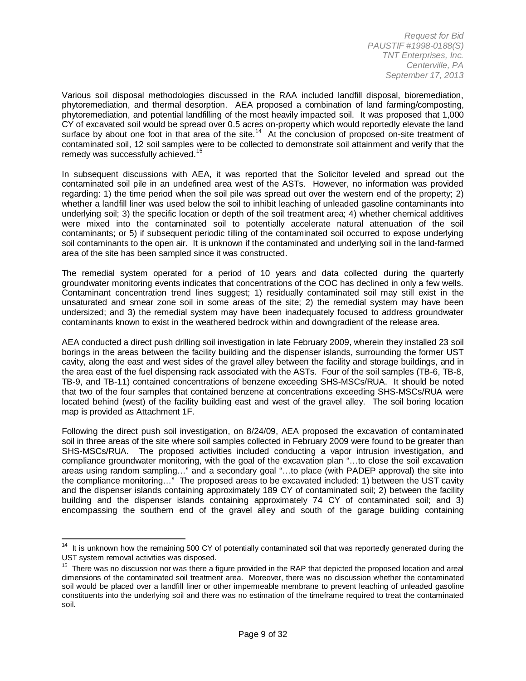Various soil disposal methodologies discussed in the RAA included landfill disposal, bioremediation, phytoremediation, and thermal desorption. AEA proposed a combination of land farming/composting, phytoremediation, and potential landfilling of the most heavily impacted soil. It was proposed that 1,000 CY of excavated soil would be spread over 0.5 acres on-property which would reportedly elevate the land surface by about one foot in that area of the site.<sup>14</sup> At the conclusion of proposed on-site treatment of contaminated soil, 12 soil samples were to be collected to demonstrate soil attainment and verify that the remedy was successfully achieved.<sup>[15](#page-8-0)</sup>

In subsequent discussions with AEA, it was reported that the Solicitor leveled and spread out the contaminated soil pile in an undefined area west of the ASTs. However, no information was provided regarding: 1) the time period when the soil pile was spread out over the western end of the property; 2) whether a landfill liner was used below the soil to inhibit leaching of unleaded gasoline contaminants into underlying soil; 3) the specific location or depth of the soil treatment area; 4) whether chemical additives were mixed into the contaminated soil to potentially accelerate natural attenuation of the soil contaminants; or 5) if subsequent periodic tilling of the contaminated soil occurred to expose underlying soil contaminants to the open air. It is unknown if the contaminated and underlying soil in the land-farmed area of the site has been sampled since it was constructed.

The remedial system operated for a period of 10 years and data collected during the quarterly groundwater monitoring events indicates that concentrations of the COC has declined in only a few wells. Contaminant concentration trend lines suggest; 1) residually contaminated soil may still exist in the unsaturated and smear zone soil in some areas of the site; 2) the remedial system may have been undersized; and 3) the remedial system may have been inadequately focused to address groundwater contaminants known to exist in the weathered bedrock within and downgradient of the release area.

AEA conducted a direct push drilling soil investigation in late February 2009, wherein they installed 23 soil borings in the areas between the facility building and the dispenser islands, surrounding the former UST cavity, along the east and west sides of the gravel alley between the facility and storage buildings, and in the area east of the fuel dispensing rack associated with the ASTs. Four of the soil samples (TB-6, TB-8, TB-9, and TB-11) contained concentrations of benzene exceeding SHS-MSCs/RUA. It should be noted that two of the four samples that contained benzene at concentrations exceeding SHS-MSCs/RUA were located behind (west) of the facility building east and west of the gravel alley. The soil boring location map is provided as Attachment 1F.

Following the direct push soil investigation, on 8/24/09, AEA proposed the excavation of contaminated soil in three areas of the site where soil samples collected in February 2009 were found to be greater than SHS-MSCs/RUA. The proposed activities included conducting a vapor intrusion investigation, and compliance groundwater monitoring, with the goal of the excavation plan "…to close the soil excavation areas using random sampling…" and a secondary goal "…to place (with PADEP approval) the site into the compliance monitoring…" The proposed areas to be excavated included: 1) between the UST cavity and the dispenser islands containing approximately 189 CY of contaminated soil; 2) between the facility building and the dispenser islands containing approximately 74 CY of contaminated soil; and 3) encompassing the southern end of the gravel alley and south of the garage building containing

<sup>&</sup>lt;sup>14</sup> It is unknown how the remaining 500 CY of potentially contaminated soil that was reportedly generated during the UST system removal activities was disposed.

<span id="page-8-1"></span><span id="page-8-0"></span><sup>&</sup>lt;sup>15</sup> There was no discussion nor was there a figure provided in the RAP that depicted the proposed location and areal dimensions of the contaminated soil treatment area. Moreover, there was no discussion whether the contaminated soil would be placed over a landfill liner or other impermeable membrane to prevent leaching of unleaded gasoline constituents into the underlying soil and there was no estimation of the timeframe required to treat the contaminated soil.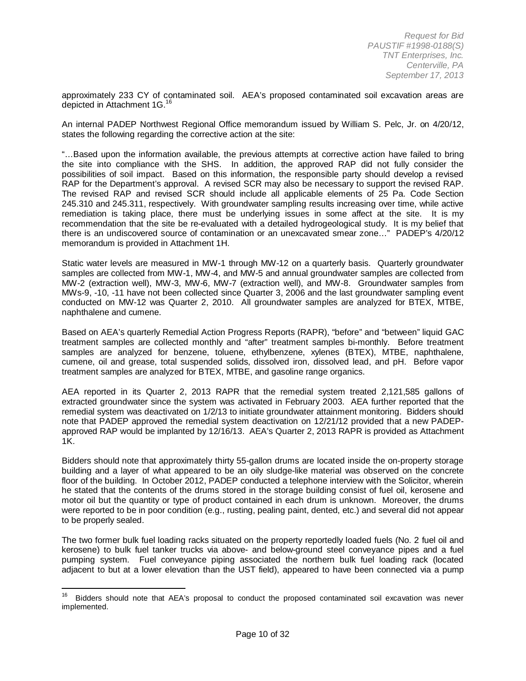approximately 233 CY of contaminated soil. AEA's proposed contaminated soil excavation areas are depicted in Attachment 1G.<sup>[16](#page-8-1)</sup>

An internal PADEP Northwest Regional Office memorandum issued by William S. Pelc, Jr. on 4/20/12, states the following regarding the corrective action at the site:

"…Based upon the information available, the previous attempts at corrective action have failed to bring the site into compliance with the SHS. In addition, the approved RAP did not fully consider the possibilities of soil impact. Based on this information, the responsible party should develop a revised RAP for the Department's approval. A revised SCR may also be necessary to support the revised RAP. The revised RAP and revised SCR should include all applicable elements of 25 Pa. Code Section 245.310 and 245.311, respectively. With groundwater sampling results increasing over time, while active remediation is taking place, there must be underlying issues in some affect at the site. It is my recommendation that the site be re-evaluated with a detailed hydrogeological study. It is my belief that there is an undiscovered source of contamination or an unexcavated smear zone…" PADEP's 4/20/12 memorandum is provided in Attachment 1H.

Static water levels are measured in MW-1 through MW-12 on a quarterly basis. Quarterly groundwater samples are collected from MW-1, MW-4, and MW-5 and annual groundwater samples are collected from MW-2 (extraction well), MW-3, MW-6, MW-7 (extraction well), and MW-8. Groundwater samples from MWs-9, -10, -11 have not been collected since Quarter 3, 2006 and the last groundwater sampling event conducted on MW-12 was Quarter 2, 2010. All groundwater samples are analyzed for BTEX, MTBE, naphthalene and cumene.

Based on AEA's quarterly Remedial Action Progress Reports (RAPR), "before" and "between" liquid GAC treatment samples are collected monthly and "after" treatment samples bi-monthly. Before treatment samples are analyzed for benzene, toluene, ethylbenzene, xylenes (BTEX), MTBE, naphthalene, cumene, oil and grease, total suspended solids, dissolved iron, dissolved lead, and pH. Before vapor treatment samples are analyzed for BTEX, MTBE, and gasoline range organics.

AEA reported in its Quarter 2, 2013 RAPR that the remedial system treated 2,121,585 gallons of extracted groundwater since the system was activated in February 2003. AEA further reported that the remedial system was deactivated on 1/2/13 to initiate groundwater attainment monitoring. Bidders should note that PADEP approved the remedial system deactivation on 12/21/12 provided that a new PADEPapproved RAP would be implanted by 12/16/13. AEA's Quarter 2, 2013 RAPR is provided as Attachment 1K.

Bidders should note that approximately thirty 55-gallon drums are located inside the on-property storage building and a layer of what appeared to be an oily sludge-like material was observed on the concrete floor of the building. In October 2012, PADEP conducted a telephone interview with the Solicitor, wherein he stated that the contents of the drums stored in the storage building consist of fuel oil, kerosene and motor oil but the quantity or type of product contained in each drum is unknown. Moreover, the drums were reported to be in poor condition (e.g., rusting, pealing paint, dented, etc.) and several did not appear to be properly sealed.

The two former bulk fuel loading racks situated on the property reportedly loaded fuels (No. 2 fuel oil and kerosene) to bulk fuel tanker trucks via above- and below-ground steel conveyance pipes and a fuel pumping system. Fuel conveyance piping associated the northern bulk fuel loading rack (located adjacent to but at a lower elevation than the UST field), appeared to have been connected via a pump

<span id="page-9-0"></span><sup>16</sup> Bidders should note that AEA's proposal to conduct the proposed contaminated soil excavation was never implemented.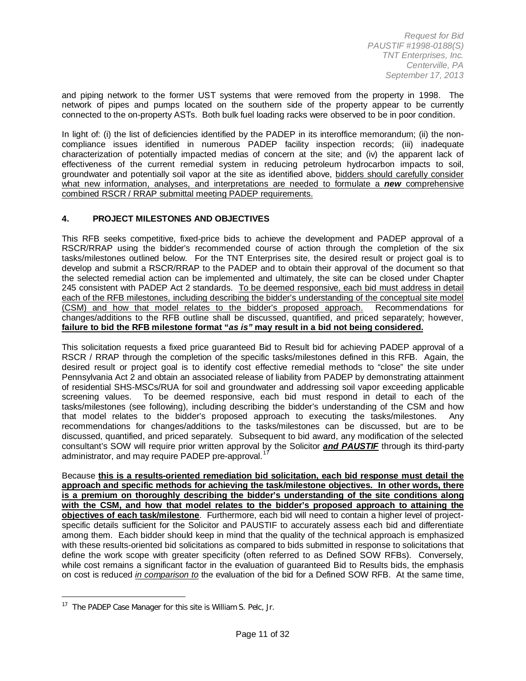and piping network to the former UST systems that were removed from the property in 1998. The network of pipes and pumps located on the southern side of the property appear to be currently connected to the on-property ASTs. Both bulk fuel loading racks were observed to be in poor condition.

In light of: (i) the list of deficiencies identified by the PADEP in its interoffice memorandum; (ii) the noncompliance issues identified in numerous PADEP facility inspection records; (iii) inadequate characterization of potentially impacted medias of concern at the site; and (iv) the apparent lack of effectiveness of the current remedial system in reducing petroleum hydrocarbon impacts to soil, groundwater and potentially soil vapor at the site as identified above, bidders should carefully consider what new information, analyses, and interpretations are needed to formulate a *new* comprehensive combined RSCR / RRAP submittal meeting PADEP requirements.

#### **4. PROJECT MILESTONES AND OBJECTIVES**

This RFB seeks competitive, fixed-price bids to achieve the development and PADEP approval of a RSCR/RRAP using the bidder's recommended course of action through the completion of the six tasks/milestones outlined below. For the TNT Enterprises site, the desired result or project goal is to develop and submit a RSCR/RRAP to the PADEP and to obtain their approval of the document so that the selected remedial action can be implemented and ultimately, the site can be closed under Chapter 245 consistent with PADEP Act 2 standards. To be deemed responsive, each bid must address in detail each of the RFB milestones, including describing the bidder's understanding of the conceptual site model (CSM) and how that model relates to the bidder's proposed approach. Recommendations for changes/additions to the RFB outline shall be discussed, quantified, and priced separately; however, **failure to bid the RFB milestone format "***as is"* **may result in a bid not being considered.**

This solicitation requests a fixed price guaranteed Bid to Result bid for achieving PADEP approval of a RSCR / RRAP through the completion of the specific tasks/milestones defined in this RFB. Again, the desired result or project goal is to identify cost effective remedial methods to "close" the site under Pennsylvania Act 2 and obtain an associated release of liability from PADEP by demonstrating attainment of residential SHS-MSCs/RUA for soil and groundwater and addressing soil vapor exceeding applicable<br>screening values. To be deemed responsive, each bid must respond in detail to each of the To be deemed responsive, each bid must respond in detail to each of the tasks/milestones (see following), including describing the bidder's understanding of the CSM and how that model relates to the bidder's proposed approach to executing the tasks/milestones. Any recommendations for changes/additions to the tasks/milestones can be discussed, but are to be discussed, quantified, and priced separately. Subsequent to bid award, any modification of the selected consultant's SOW will require prior written approval by the Solicitor *and PAUSTIF* through its third-party administrator, and may require PADEP pre-approval.<sup>1</sup>

<span id="page-10-0"></span>Because **this is a results-oriented remediation bid solicitation, each bid response must detail the approach and specific methods for achieving the task/milestone objectives. In other words, there is a premium on thoroughly describing the bidder's understanding of the site conditions along with the CSM, and how that model relates to the bidder's proposed approach to attaining the objectives of each task/milestone**. Furthermore, each bid will need to contain a higher level of projectspecific details sufficient for the Solicitor and PAUSTIF to accurately assess each bid and differentiate among them. Each bidder should keep in mind that the quality of the technical approach is emphasized with these results-oriented bid solicitations as compared to bids submitted in response to solicitations that define the work scope with greater specificity (often referred to as Defined SOW RFBs). Conversely, while cost remains a significant factor in the evaluation of guaranteed Bid to Results bids, the emphasis on cost is reduced *in comparison to* the evaluation of the bid for a Defined SOW RFB. At the same time,

 $\overline{a}$ 

<sup>&</sup>lt;sup>17</sup> The PADEP Case Manager for this site is William S. Pelc, Jr.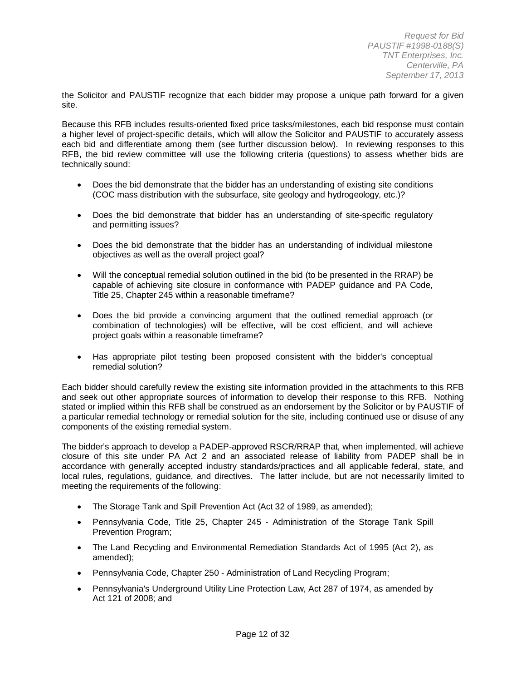the Solicitor and PAUSTIF recognize that each bidder may propose a unique path forward for a given site.

Because this RFB includes results-oriented fixed price tasks/milestones, each bid response must contain a higher level of project-specific details, which will allow the Solicitor and PAUSTIF to accurately assess each bid and differentiate among them (see further discussion below). In reviewing responses to this RFB, the bid review committee will use the following criteria (questions) to assess whether bids are technically sound:

- Does the bid demonstrate that the bidder has an understanding of existing site conditions (COC mass distribution with the subsurface, site geology and hydrogeology, etc.)?
- Does the bid demonstrate that bidder has an understanding of site-specific regulatory and permitting issues?
- Does the bid demonstrate that the bidder has an understanding of individual milestone objectives as well as the overall project goal?
- Will the conceptual remedial solution outlined in the bid (to be presented in the RRAP) be capable of achieving site closure in conformance with PADEP guidance and PA Code, Title 25, Chapter 245 within a reasonable timeframe?
- Does the bid provide a convincing argument that the outlined remedial approach (or combination of technologies) will be effective, will be cost efficient, and will achieve project goals within a reasonable timeframe?
- Has appropriate pilot testing been proposed consistent with the bidder's conceptual remedial solution?

Each bidder should carefully review the existing site information provided in the attachments to this RFB and seek out other appropriate sources of information to develop their response to this RFB. Nothing stated or implied within this RFB shall be construed as an endorsement by the Solicitor or by PAUSTIF of a particular remedial technology or remedial solution for the site, including continued use or disuse of any components of the existing remedial system.

The bidder's approach to develop a PADEP-approved RSCR/RRAP that, when implemented, will achieve closure of this site under PA Act 2 and an associated release of liability from PADEP shall be in accordance with generally accepted industry standards/practices and all applicable federal, state, and local rules, regulations, guidance, and directives. The latter include, but are not necessarily limited to meeting the requirements of the following:

- The Storage Tank and Spill Prevention Act (Act 32 of 1989, as amended);
- Pennsylvania Code, Title 25, Chapter 245 Administration of the Storage Tank Spill Prevention Program;
- The Land Recycling and Environmental Remediation Standards Act of 1995 (Act 2), as amended);
- Pennsylvania Code, Chapter 250 Administration of Land Recycling Program;
- Pennsylvania's Underground Utility Line Protection Law, Act 287 of 1974, as amended by Act 121 of 2008; and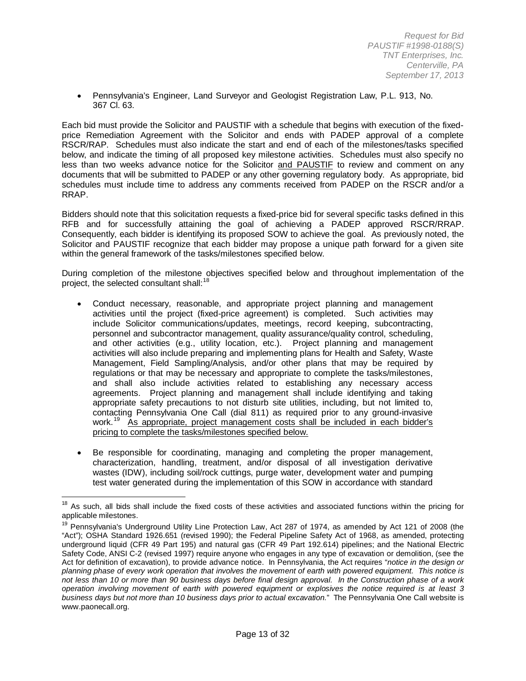• Pennsylvania's Engineer, Land Surveyor and Geologist Registration Law, P.L. 913, No. 367 Cl. 63.

Each bid must provide the Solicitor and PAUSTIF with a schedule that begins with execution of the fixedprice Remediation Agreement with the Solicitor and ends with PADEP approval of a complete RSCR/RAP. Schedules must also indicate the start and end of each of the milestones/tasks specified below, and indicate the timing of all proposed key milestone activities. Schedules must also specify no less than two weeks advance notice for the Solicitor and PAUSTIF to review and comment on any documents that will be submitted to PADEP or any other governing regulatory body. As appropriate, bid schedules must include time to address any comments received from PADEP on the RSCR and/or a RRAP.

Bidders should note that this solicitation requests a fixed-price bid for several specific tasks defined in this RFB and for successfully attaining the goal of achieving a PADEP approved RSCR/RRAP. Consequently, each bidder is identifying its proposed SOW to achieve the goal. As previously noted, the Solicitor and PAUSTIF recognize that each bidder may propose a unique path forward for a given site within the general framework of the tasks/milestones specified below.

During completion of the milestone objectives specified below and throughout implementation of the project, the selected consultant shall: $<sup>1</sup>$ </sup>

- Conduct necessary, reasonable, and appropriate project planning and management activities until the project (fixed-price agreement) is completed. Such activities may include Solicitor communications/updates, meetings, record keeping, subcontracting, personnel and subcontractor management, quality assurance/quality control, scheduling, and other activities (e.g., utility location, etc.). Project planning and management activities will also include preparing and implementing plans for Health and Safety, Waste Management, Field Sampling/Analysis, and/or other plans that may be required by regulations or that may be necessary and appropriate to complete the tasks/milestones, and shall also include activities related to establishing any necessary access agreements. Project planning and management shall include identifying and taking appropriate safety precautions to not disturb site utilities, including, but not limited to, contacting Pennsylvania One Call (dial 811) as required prior to any ground-invasive work.<sup>19</sup> As appropriate, project management costs shall be included in each bidder's pricing to complete the tasks/milestones specified below.
- Be responsible for coordinating, managing and completing the proper management, characterization, handling, treatment, and/or disposal of all investigation derivative wastes (IDW), including soil/rock cuttings, purge water, development water and pumping test water generated during the implementation of this SOW in accordance with standard

As such, all bids shall include the fixed costs of these activities and associated functions within the pricing for applicable milestones.

<span id="page-12-1"></span><span id="page-12-0"></span><sup>&</sup>lt;sup>19</sup> Pennsvlvania's Underground Utility Line Protection Law, Act 287 of 1974, as amended by Act 121 of 2008 (the "Act"); OSHA Standard 1926.651 (revised 1990); the Federal Pipeline Safety Act of 1968, as amended, protecting underground liquid (CFR 49 Part 195) and natural gas (CFR 49 Part 192.614) pipelines; and the National Electric Safety Code, ANSI C-2 (revised 1997) require anyone who engages in any type of excavation or demolition, (see the Act for definition of excavation), to provide advance notice. In Pennsylvania, the Act requires "*notice in the design or planning phase of every work operation that involves the movement of earth with powered equipment. This notice is not less than 10 or more than 90 business days before final design approval. In the Construction phase of a work operation involving movement of earth with powered equipment or explosives the notice required is at least 3 business days but not more than 10 business days prior to actual excavation.*" The Pennsylvania One Call website is www.paonecall.org.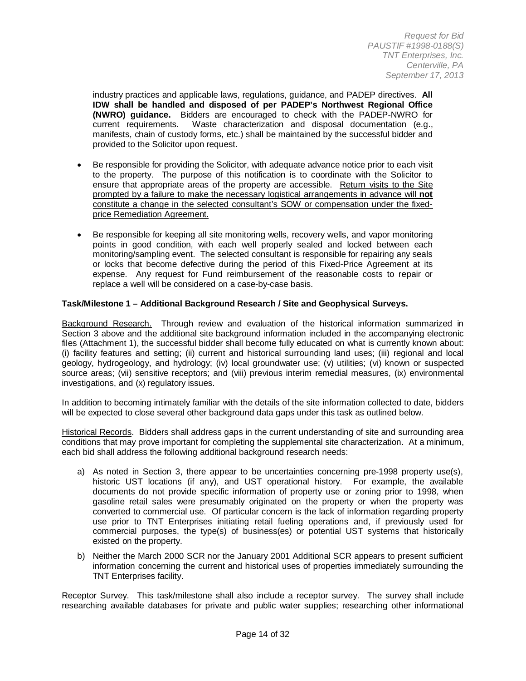industry practices and applicable laws, regulations, guidance, and PADEP directives. **All IDW shall be handled and disposed of per PADEP's Northwest Regional Office (NWRO) guidance.** Bidders are encouraged to check with the PADEP-NWRO for Waste characterization and disposal documentation (e.g., manifests, chain of custody forms, etc.) shall be maintained by the successful bidder and provided to the Solicitor upon request.

- Be responsible for providing the Solicitor, with adequate advance notice prior to each visit to the property. The purpose of this notification is to coordinate with the Solicitor to ensure that appropriate areas of the property are accessible. Return visits to the Site prompted by a failure to make the necessary logistical arrangements in advance will **not** constitute a change in the selected consultant's SOW or compensation under the fixedprice Remediation Agreement.
- Be responsible for keeping all site monitoring wells, recovery wells, and vapor monitoring points in good condition, with each well properly sealed and locked between each monitoring/sampling event. The selected consultant is responsible for repairing any seals or locks that become defective during the period of this Fixed-Price Agreement at its expense. Any request for Fund reimbursement of the reasonable costs to repair or replace a well will be considered on a case-by-case basis.

#### **Task/Milestone 1 – Additional Background Research / Site and Geophysical Surveys.**

Background Research. Through review and evaluation of the historical information summarized in Section 3 above and the additional site background information included in the accompanying electronic files (Attachment 1), the successful bidder shall become fully educated on what is currently known about: (i) facility features and setting; (ii) current and historical surrounding land uses; (iii) regional and local geology, hydrogeology, and hydrology; (iv) local groundwater use; (v) utilities; (vi) known or suspected source areas; (vii) sensitive receptors; and (viii) previous interim remedial measures, (ix) environmental investigations, and (x) regulatory issues.

In addition to becoming intimately familiar with the details of the site information collected to date, bidders will be expected to close several other background data gaps under this task as outlined below.

Historical Records. Bidders shall address gaps in the current understanding of site and surrounding area conditions that may prove important for completing the supplemental site characterization. At a minimum, each bid shall address the following additional background research needs:

- a) As noted in Section 3, there appear to be uncertainties concerning pre-1998 property use(s), historic UST locations (if any), and UST operational history. For example, the available documents do not provide specific information of property use or zoning prior to 1998, when gasoline retail sales were presumably originated on the property or when the property was converted to commercial use. Of particular concern is the lack of information regarding property use prior to TNT Enterprises initiating retail fueling operations and, if previously used for commercial purposes, the type(s) of business(es) or potential UST systems that historically existed on the property.
- b) Neither the March 2000 SCR nor the January 2001 Additional SCR appears to present sufficient information concerning the current and historical uses of properties immediately surrounding the TNT Enterprises facility.

Receptor Survey. This task/milestone shall also include a receptor survey. The survey shall include researching available databases for private and public water supplies; researching other informational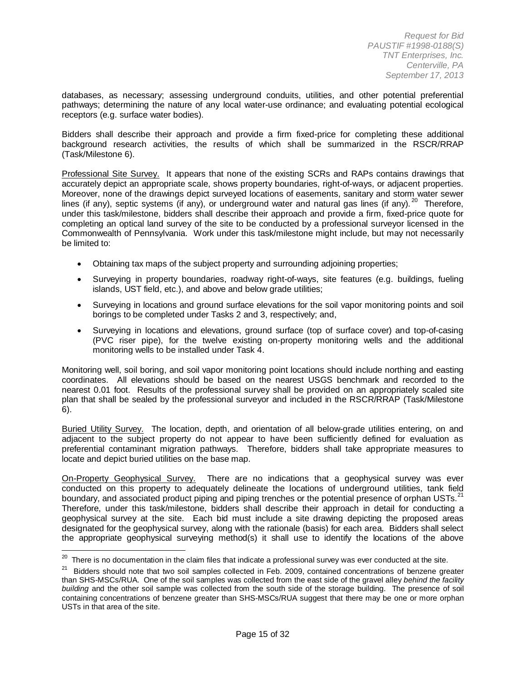databases, as necessary; assessing underground conduits, utilities, and other potential preferential pathways; determining the nature of any local water-use ordinance; and evaluating potential ecological receptors (e.g. surface water bodies).

Bidders shall describe their approach and provide a firm fixed-price for completing these additional background research activities, the results of which shall be summarized in the RSCR/RRAP (Task/Milestone 6).

Professional Site Survey. It appears that none of the existing SCRs and RAPs contains drawings that accurately depict an appropriate scale, shows property boundaries, right-of-ways, or adjacent properties. Moreover, none of the drawings depict surveyed locations of easements, sanitary and storm water sewer lines (if any), septic systems (if any), or underground water and natural gas lines (if any).<sup>[20](#page-12-1)</sup> Therefore, under this task/milestone, bidders shall describe their approach and provide a firm, fixed-price quote for completing an optical land survey of the site to be conducted by a professional surveyor licensed in the Commonwealth of Pennsylvania. Work under this task/milestone might include, but may not necessarily be limited to:

- Obtaining tax maps of the subject property and surrounding adjoining properties;
- Surveying in property boundaries, roadway right-of-ways, site features (e.g. buildings, fueling islands, UST field, etc.), and above and below grade utilities;
- Surveying in locations and ground surface elevations for the soil vapor monitoring points and soil borings to be completed under Tasks 2 and 3, respectively; and,
- Surveying in locations and elevations, ground surface (top of surface cover) and top-of-casing (PVC riser pipe), for the twelve existing on-property monitoring wells and the additional monitoring wells to be installed under Task 4.

Monitoring well, soil boring, and soil vapor monitoring point locations should include northing and easting coordinates. All elevations should be based on the nearest USGS benchmark and recorded to the nearest 0.01 foot. Results of the professional survey shall be provided on an appropriately scaled site plan that shall be sealed by the professional surveyor and included in the RSCR/RRAP (Task/Milestone 6).

Buried Utility Survey. The location, depth, and orientation of all below-grade utilities entering, on and adjacent to the subject property do not appear to have been sufficiently defined for evaluation as preferential contaminant migration pathways. Therefore, bidders shall take appropriate measures to locate and depict buried utilities on the base map.

On-Property Geophysical Survey. There are no indications that a geophysical survey was ever conducted on this property to adequately delineate the locations of underground utilities, tank field boundary, and associated product piping and piping trenches or the potential presence of orphan USTs.<sup>[21](#page-14-0)</sup> Therefore, under this task/milestone, bidders shall describe their approach in detail for conducting a geophysical survey at the site. Each bid must include a site drawing depicting the proposed areas designated for the geophysical survey, along with the rationale (basis) for each area. Bidders shall select the appropriate geophysical surveying method(s) it shall use to identify the locations of the above

 $20$  There is no documentation in the claim files that indicate a professional survey was ever conducted at the site.

<span id="page-14-1"></span><span id="page-14-0"></span><sup>&</sup>lt;sup>21</sup> Bidders should note that two soil samples collected in Feb. 2009, contained concentrations of benzene greater than SHS-MSCs/RUA. One of the soil samples was collected from the east side of the gravel alley *behind the facility building* and the other soil sample was collected from the south side of the storage building. The presence of soil containing concentrations of benzene greater than SHS-MSCs/RUA suggest that there may be one or more orphan USTs in that area of the site.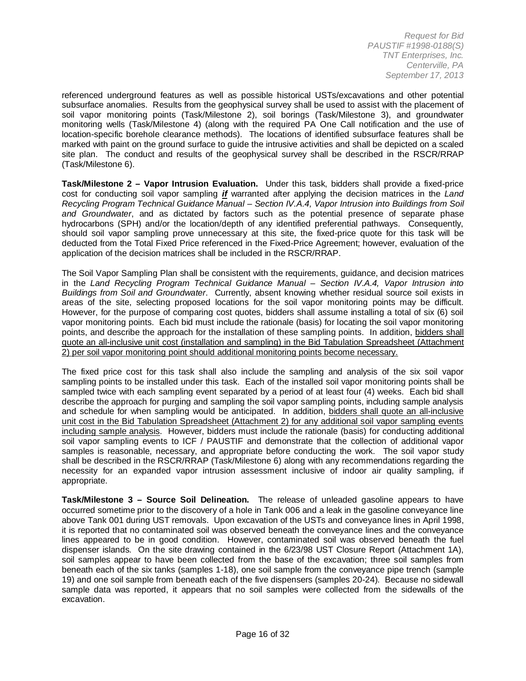referenced underground features as well as possible historical USTs/excavations and other potential subsurface anomalies. Results from the geophysical survey shall be used to assist with the placement of soil vapor monitoring points (Task/Milestone 2), soil borings (Task/Milestone 3), and groundwater monitoring wells (Task/Milestone 4) (along with the required PA One Call notification and the use of location-specific borehole clearance methods). The locations of identified subsurface features shall be marked with paint on the ground surface to guide the intrusive activities and shall be depicted on a scaled site plan. The conduct and results of the geophysical survey shall be described in the RSCR/RRAP (Task/Milestone 6).

**Task/Milestone 2 – Vapor Intrusion Evaluation.** Under this task, bidders shall provide a fixed-price cost for conducting soil vapor sampling *if* warranted after applying the decision matrices in the *Land Recycling Program Technical Guidance Manual – Section IV.A.4, Vapor Intrusion into Buildings from Soil and Groundwater*, and as dictated by factors such as the potential presence of separate phase hydrocarbons (SPH) and/or the location/depth of any identified preferential pathways. Consequently, should soil vapor sampling prove unnecessary at this site, the fixed-price quote for this task will be deducted from the Total Fixed Price referenced in the Fixed-Price Agreement; however, evaluation of the application of the decision matrices shall be included in the RSCR/RRAP.

The Soil Vapor Sampling Plan shall be consistent with the requirements, guidance, and decision matrices in the *Land Recycling Program Technical Guidance Manual – Section IV.A.4, Vapor Intrusion into Buildings from Soil and Groundwater*. Currently, absent knowing whether residual source soil exists in areas of the site, selecting proposed locations for the soil vapor monitoring points may be difficult. However, for the purpose of comparing cost quotes, bidders shall assume installing a total of six (6) soil vapor monitoring points. Each bid must include the rationale (basis) for locating the soil vapor monitoring points, and describe the approach for the installation of these sampling points. In addition, bidders shall quote an all-inclusive unit cost (installation and sampling) in the Bid Tabulation Spreadsheet (Attachment 2) per soil vapor monitoring point should additional monitoring points become necessary.

The fixed price cost for this task shall also include the sampling and analysis of the six soil vapor sampling points to be installed under this task. Each of the installed soil vapor monitoring points shall be sampled twice with each sampling event separated by a period of at least four (4) weeks. Each bid shall describe the approach for purging and sampling the soil vapor sampling points, including sample analysis and schedule for when sampling would be anticipated. In addition, bidders shall quote an all-inclusive unit cost in the Bid Tabulation Spreadsheet (Attachment 2) for any additional soil vapor sampling events including sample analysis. However, bidders must include the rationale (basis) for conducting additional soil vapor sampling events to ICF / PAUSTIF and demonstrate that the collection of additional vapor samples is reasonable, necessary, and appropriate before conducting the work. The soil vapor study shall be described in the RSCR/RRAP (Task/Milestone 6) along with any recommendations regarding the necessity for an expanded vapor intrusion assessment inclusive of indoor air quality sampling, if appropriate.

**Task/Milestone 3 – Source Soil Delineation.** The release of unleaded gasoline appears to have occurred sometime prior to the discovery of a hole in Tank 006 and a leak in the gasoline conveyance line above Tank 001 during UST removals. Upon excavation of the USTs and conveyance lines in April 1998, it is reported that no contaminated soil was observed beneath the conveyance lines and the conveyance lines appeared to be in good condition. However, contaminated soil was observed beneath the fuel dispenser islands. On the site drawing contained in the 6/23/98 UST Closure Report (Attachment 1A), soil samples appear to have been collected from the base of the excavation; three soil samples from beneath each of the six tanks (samples 1-18), one soil sample from the conveyance pipe trench (sample 19) and one soil sample from beneath each of the five dispensers (samples 20-24). Because no sidewall sample data was reported, it appears that no soil samples were collected from the sidewalls of the excavation.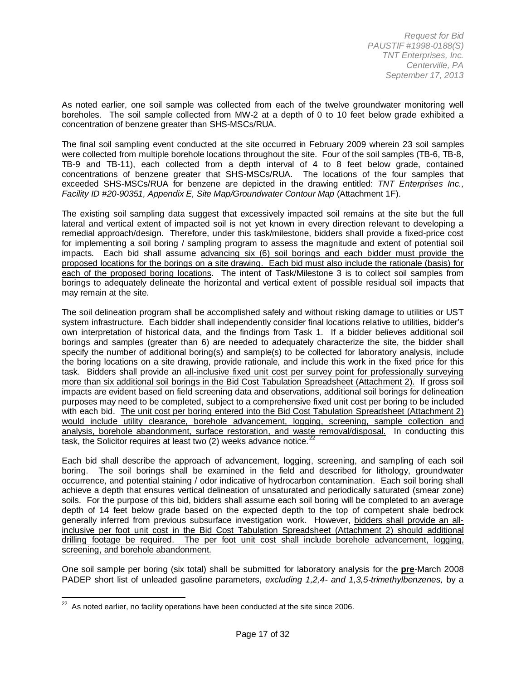As noted earlier, one soil sample was collected from each of the twelve groundwater monitoring well boreholes. The soil sample collected from MW-2 at a depth of 0 to 10 feet below grade exhibited a concentration of benzene greater than SHS-MSCs/RUA.

The final soil sampling event conducted at the site occurred in February 2009 wherein 23 soil samples were collected from multiple borehole locations throughout the site. Four of the soil samples (TB-6, TB-8, TB-9 and TB-11), each collected from a depth interval of 4 to 8 feet below grade, contained concentrations of benzene greater that SHS-MSCs/RUA. The locations of the four samples that exceeded SHS-MSCs/RUA for benzene are depicted in the drawing entitled: *TNT Enterprises Inc., Facility ID #20-90351, Appendix E, Site Map/Groundwater Contour Map* (Attachment 1F).

The existing soil sampling data suggest that excessively impacted soil remains at the site but the full lateral and vertical extent of impacted soil is not yet known in every direction relevant to developing a remedial approach/design. Therefore, under this task/milestone, bidders shall provide a fixed-price cost for implementing a soil boring / sampling program to assess the magnitude and extent of potential soil impacts. Each bid shall assume advancing six (6) soil borings and each bidder must provide the proposed locations for the borings on a site drawing. Each bid must also include the rationale (basis) for each of the proposed boring locations. The intent of Task/Milestone 3 is to collect soil samples from borings to adequately delineate the horizontal and vertical extent of possible residual soil impacts that may remain at the site.

The soil delineation program shall be accomplished safely and without risking damage to utilities or UST system infrastructure. Each bidder shall independently consider final locations relative to utilities, bidder's own interpretation of historical data, and the findings from Task 1. If a bidder believes additional soil borings and samples (greater than 6) are needed to adequately characterize the site, the bidder shall specify the number of additional boring(s) and sample(s) to be collected for laboratory analysis, include the boring locations on a site drawing, provide rationale, and include this work in the fixed price for this task. Bidders shall provide an all-inclusive fixed unit cost per survey point for professionally surveying more than six additional soil borings in the Bid Cost Tabulation Spreadsheet (Attachment 2). If gross soil impacts are evident based on field screening data and observations, additional soil borings for delineation purposes may need to be completed, subject to a comprehensive fixed unit cost per boring to be included with each bid. The unit cost per boring entered into the Bid Cost Tabulation Spreadsheet (Attachment 2) would include utility clearance, borehole advancement, logging, screening, sample collection and analysis, borehole abandonment, surface restoration, and waste removal/disposal. In conducting this task, the Solicitor requires at least two  $(2)$  weeks advance notice.<sup>2</sup>

Each bid shall describe the approach of advancement, logging, screening, and sampling of each soil boring. The soil borings shall be examined in the field and described for lithology, groundwater occurrence, and potential staining / odor indicative of hydrocarbon contamination. Each soil boring shall achieve a depth that ensures vertical delineation of unsaturated and periodically saturated (smear zone) soils. For the purpose of this bid, bidders shall assume each soil boring will be completed to an average depth of 14 feet below grade based on the expected depth to the top of competent shale bedrock generally inferred from previous subsurface investigation work. However, bidders shall provide an allinclusive per foot unit cost in the Bid Cost Tabulation Spreadsheet (Attachment 2) should additional drilling footage be required. The per foot unit cost shall include borehole advancement, logging, screening, and borehole abandonment.

One soil sample per boring (six total) shall be submitted for laboratory analysis for the **pre**-March 2008 PADEP short list of unleaded gasoline parameters, *excluding 1,2,4- and 1,3,5-trimethylbenzenes,* by a

<span id="page-16-0"></span> $22$  As noted earlier, no facility operations have been conducted at the site since 2006.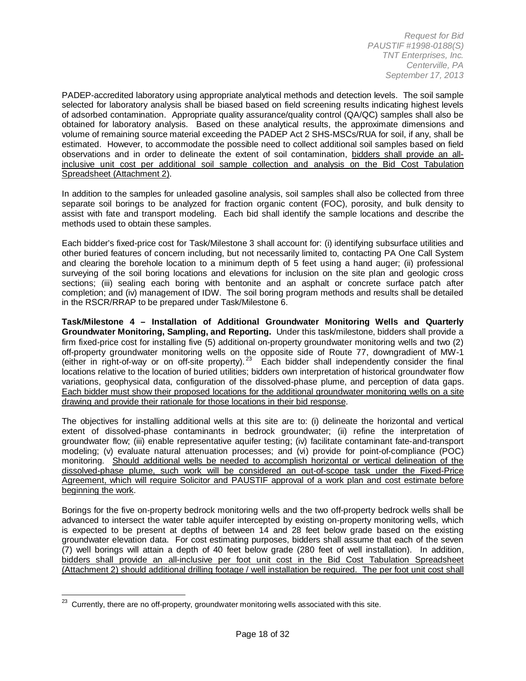PADEP-accredited laboratory using appropriate analytical methods and detection levels. The soil sample selected for laboratory analysis shall be biased based on field screening results indicating highest levels of adsorbed contamination. Appropriate quality assurance/quality control (QA/QC) samples shall also be obtained for laboratory analysis. Based on these analytical results, the approximate dimensions and volume of remaining source material exceeding the PADEP Act 2 SHS-MSCs/RUA for soil, if any, shall be estimated. However, to accommodate the possible need to collect additional soil samples based on field observations and in order to delineate the extent of soil contamination, bidders shall provide an allinclusive unit cost per additional soil sample collection and analysis on the Bid Cost Tabulation Spreadsheet (Attachment 2).

In addition to the samples for unleaded gasoline analysis, soil samples shall also be collected from three separate soil borings to be analyzed for fraction organic content (FOC), porosity, and bulk density to assist with fate and transport modeling. Each bid shall identify the sample locations and describe the methods used to obtain these samples.

Each bidder's fixed-price cost for Task/Milestone 3 shall account for: (i) identifying subsurface utilities and other buried features of concern including, but not necessarily limited to, contacting PA One Call System and clearing the borehole location to a minimum depth of 5 feet using a hand auger; (ii) professional surveying of the soil boring locations and elevations for inclusion on the site plan and geologic cross sections; (iii) sealing each boring with bentonite and an asphalt or concrete surface patch after completion; and (iv) management of IDW. The soil boring program methods and results shall be detailed in the RSCR/RRAP to be prepared under Task/Milestone 6.

**Task/Milestone 4 – Installation of Additional Groundwater Monitoring Wells and Quarterly Groundwater Monitoring, Sampling, and Reporting.** Under this task/milestone, bidders shall provide a firm fixed-price cost for installing five (5) additional on-property groundwater monitoring wells and two (2) off-property groundwater monitoring wells on the opposite side of Route 77, downgradient of MW-1 (either in right-of-way or on off-site property).<sup>[23](#page-16-0)</sup> Each bidder shall independently consider the final locations relative to the location of buried utilities; bidders own interpretation of historical groundwater flow variations, geophysical data, configuration of the dissolved-phase plume, and perception of data gaps. Each bidder must show their proposed locations for the additional groundwater monitoring wells on a site drawing and provide their rationale for those locations in their bid response.

The objectives for installing additional wells at this site are to: (i) delineate the horizontal and vertical extent of dissolved-phase contaminants in bedrock groundwater; (ii) refine the interpretation of groundwater flow; (iii) enable representative aquifer testing; (iv) facilitate contaminant fate-and-transport modeling; (v) evaluate natural attenuation processes; and (vi) provide for point-of-compliance (POC) monitoring. Should additional wells be needed to accomplish horizontal or vertical delineation of the dissolved-phase plume, such work will be considered an out-of-scope task under the Fixed-Price Agreement, which will require Solicitor and PAUSTIF approval of a work plan and cost estimate before beginning the work.

Borings for the five on-property bedrock monitoring wells and the two off-property bedrock wells shall be advanced to intersect the water table aquifer intercepted by existing on-property monitoring wells, which is expected to be present at depths of between 14 and 28 feet below grade based on the existing groundwater elevation data. For cost estimating purposes, bidders shall assume that each of the seven (7) well borings will attain a depth of 40 feet below grade (280 feet of well installation). In addition, bidders shall provide an all-inclusive per foot unit cost in the Bid Cost Tabulation Spreadsheet (Attachment 2) should additional drilling footage / well installation be required. The per foot unit cost shall

<span id="page-17-0"></span> $23$  Currently, there are no off-property, groundwater monitoring wells associated with this site.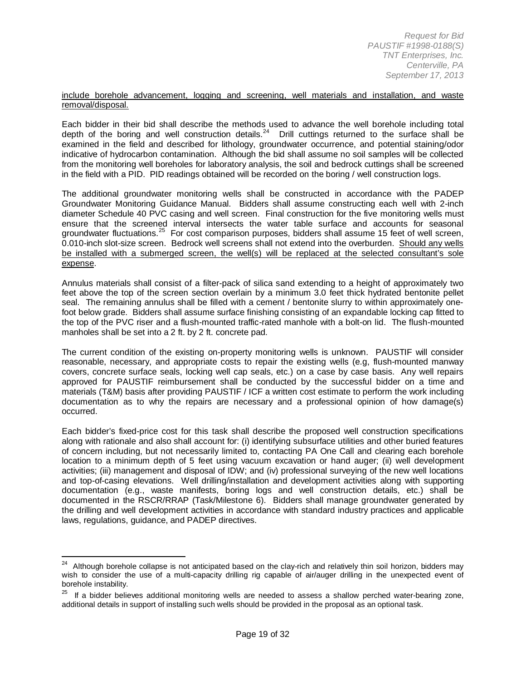#### include borehole advancement, logging and screening, well materials and installation, and waste removal/disposal.

Each bidder in their bid shall describe the methods used to advance the well borehole including total depth of the boring and well construction details.<sup>24</sup> Drill cuttings returned to the surface shall be examined in the field and described for lithology, groundwater occurrence, and potential staining/odor indicative of hydrocarbon contamination. Although the bid shall assume no soil samples will be collected from the monitoring well boreholes for laboratory analysis, the soil and bedrock cuttings shall be screened in the field with a PID. PID readings obtained will be recorded on the boring / well construction logs.

The additional groundwater monitoring wells shall be constructed in accordance with the PADEP Groundwater Monitoring Guidance Manual. Bidders shall assume constructing each well with 2-inch diameter Schedule 40 PVC casing and well screen. Final construction for the five monitoring wells must ensure that the screened interval intersects the water table surface and accounts for seasonal groundwater fluctuations.<sup>[25](#page-18-0)</sup> For cost comparison purposes, bidders shall assume 15 feet of well screen, 0.010-inch slot-size screen. Bedrock well screens shall not extend into the overburden. Should any wells be installed with a submerged screen, the well(s) will be replaced at the selected consultant's sole expense.

Annulus materials shall consist of a filter-pack of silica sand extending to a height of approximately two feet above the top of the screen section overlain by a minimum 3.0 feet thick hydrated bentonite pellet seal. The remaining annulus shall be filled with a cement / bentonite slurry to within approximately onefoot below grade. Bidders shall assume surface finishing consisting of an expandable locking cap fitted to the top of the PVC riser and a flush-mounted traffic-rated manhole with a bolt-on lid. The flush-mounted manholes shall be set into a 2 ft. by 2 ft. concrete pad.

The current condition of the existing on-property monitoring wells is unknown. PAUSTIF will consider reasonable, necessary, and appropriate costs to repair the existing wells (e.g, flush-mounted manway covers, concrete surface seals, locking well cap seals, etc.) on a case by case basis. Any well repairs approved for PAUSTIF reimbursement shall be conducted by the successful bidder on a time and materials (T&M) basis after providing PAUSTIF / ICF a written cost estimate to perform the work including documentation as to why the repairs are necessary and a professional opinion of how damage(s) occurred.

Each bidder's fixed-price cost for this task shall describe the proposed well construction specifications along with rationale and also shall account for: (i) identifying subsurface utilities and other buried features of concern including, but not necessarily limited to, contacting PA One Call and clearing each borehole location to a minimum depth of 5 feet using vacuum excavation or hand auger; (ii) well development activities; (iii) management and disposal of IDW; and (iv) professional surveying of the new well locations and top-of-casing elevations. Well drilling/installation and development activities along with supporting documentation (e.g., waste manifests, boring logs and well construction details, etc.) shall be documented in the RSCR/RRAP (Task/Milestone 6). Bidders shall manage groundwater generated by the drilling and well development activities in accordance with standard industry practices and applicable laws, regulations, guidance, and PADEP directives.

<span id="page-18-1"></span><sup>&</sup>lt;sup>24</sup> Although borehole collapse is not anticipated based on the clay-rich and relatively thin soil horizon, bidders may wish to consider the use of a multi-capacity drilling rig capable of air/auger drilling in the unexpected event of borehole instability.

<span id="page-18-0"></span> $25$  If a bidder believes additional monitoring wells are needed to assess a shallow perched water-bearing zone, additional details in support of installing such wells should be provided in the proposal as an optional task.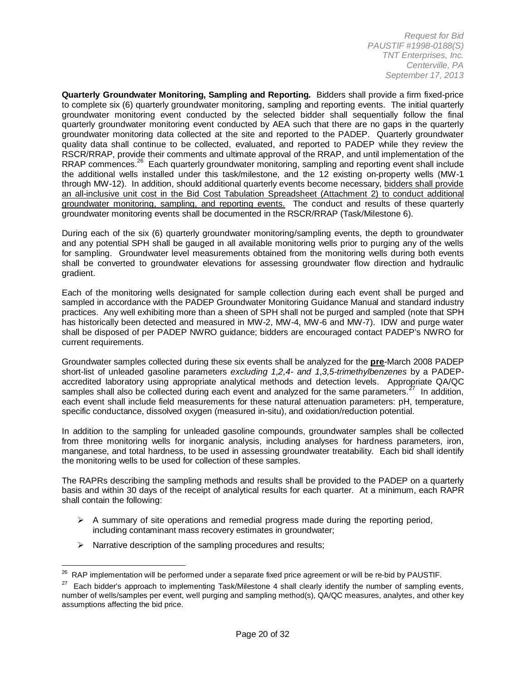**Quarterly Groundwater Monitoring, Sampling and Reporting.** Bidders shall provide a firm fixed-price to complete six (6) quarterly groundwater monitoring, sampling and reporting events. The initial quarterly groundwater monitoring event conducted by the selected bidder shall sequentially follow the final quarterly groundwater monitoring event conducted by AEA such that there are no gaps in the quarterly groundwater monitoring data collected at the site and reported to the PADEP. Quarterly groundwater quality data shall continue to be collected, evaluated, and reported to PADEP while they review the RSCR/RRAP, provide their comments and ultimate approval of the RRAP, and until implementation of the RRAP commences.<sup>[26](#page-18-1)</sup> Each quarterly groundwater monitoring, sampling and reporting event shall include the additional wells installed under this task/milestone, and the 12 existing on-property wells (MW-1 through MW-12). In addition, should additional quarterly events become necessary, bidders shall provide an all-inclusive unit cost in the Bid Cost Tabulation Spreadsheet (Attachment 2) to conduct additional groundwater monitoring, sampling, and reporting events. The conduct and results of these quarterly groundwater monitoring events shall be documented in the RSCR/RRAP (Task/Milestone 6).

During each of the six (6) quarterly groundwater monitoring/sampling events, the depth to groundwater and any potential SPH shall be gauged in all available monitoring wells prior to purging any of the wells for sampling. Groundwater level measurements obtained from the monitoring wells during both events shall be converted to groundwater elevations for assessing groundwater flow direction and hydraulic gradient.

Each of the monitoring wells designated for sample collection during each event shall be purged and sampled in accordance with the PADEP Groundwater Monitoring Guidance Manual and standard industry practices. Any well exhibiting more than a sheen of SPH shall not be purged and sampled (note that SPH has historically been detected and measured in MW-2, MW-4, MW-6 and MW-7). IDW and purge water shall be disposed of per PADEP NWRO guidance; bidders are encouraged contact PADEP's NWRO for current requirements.

Groundwater samples collected during these six events shall be analyzed for the **pre**-March 2008 PADEP short-list of unleaded gasoline parameters *excluding 1,2,4- and 1,3,5-trimethylbenzenes* by a PADEPaccredited laboratory using appropriate analytical methods and detection levels. Appropriate QA/QC samples shall also be collected during each event and analyzed for the same parameters. $27 \text{ In addition}$  $27 \text{ In addition}$ , each event shall include field measurements for these natural attenuation parameters: pH, temperature, specific conductance, dissolved oxygen (measured in-situ), and oxidation/reduction potential.

In addition to the sampling for unleaded gasoline compounds, groundwater samples shall be collected from three monitoring wells for inorganic analysis, including analyses for hardness parameters, iron, manganese, and total hardness, to be used in assessing groundwater treatability. Each bid shall identify the monitoring wells to be used for collection of these samples.

The RAPRs describing the sampling methods and results shall be provided to the PADEP on a quarterly basis and within 30 days of the receipt of analytical results for each quarter. At a minimum, each RAPR shall contain the following:

- $\triangleright$  A summary of site operations and remedial progress made during the reporting period, including contaminant mass recovery estimates in groundwater;
- $\triangleright$  Narrative description of the sampling procedures and results;

<sup>&</sup>lt;sup>26</sup> RAP implementation will be performed under a separate fixed price agreement or will be re-bid by PAUSTIF.

<span id="page-19-1"></span><span id="page-19-0"></span> $27$  Each bidder's approach to implementing Task/Milestone 4 shall clearly identify the number of sampling events, number of wells/samples per event, well purging and sampling method(s), QA/QC measures, analytes, and other key assumptions affecting the bid price.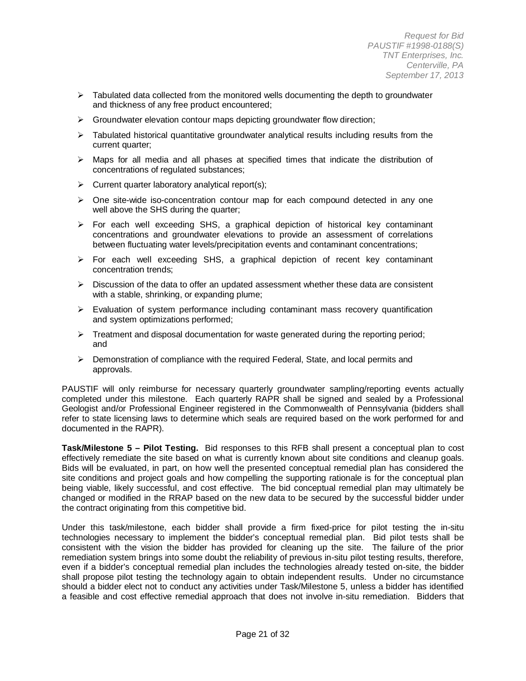- $\triangleright$  Tabulated data collected from the monitored wells documenting the depth to groundwater and thickness of any free product encountered;
- $\triangleright$  Groundwater elevation contour maps depicting groundwater flow direction;
- $\triangleright$  Tabulated historical quantitative groundwater analytical results including results from the current quarter;
- Maps for all media and all phases at specified times that indicate the distribution of concentrations of regulated substances;
- $\triangleright$  Current quarter laboratory analytical report(s);
- $\triangleright$  One site-wide iso-concentration contour map for each compound detected in any one well above the SHS during the quarter;
- $\triangleright$  For each well exceeding SHS, a graphical depiction of historical key contaminant concentrations and groundwater elevations to provide an assessment of correlations between fluctuating water levels/precipitation events and contaminant concentrations;
- For each well exceeding SHS, a graphical depiction of recent key contaminant concentration trends;
- $\triangleright$  Discussion of the data to offer an updated assessment whether these data are consistent with a stable, shrinking, or expanding plume;
- $\triangleright$  Evaluation of system performance including contaminant mass recovery quantification and system optimizations performed;
- $\triangleright$  Treatment and disposal documentation for waste generated during the reporting period; and
- $\triangleright$  Demonstration of compliance with the required Federal, State, and local permits and approvals.

PAUSTIF will only reimburse for necessary quarterly groundwater sampling/reporting events actually completed under this milestone. Each quarterly RAPR shall be signed and sealed by a Professional Geologist and/or Professional Engineer registered in the Commonwealth of Pennsylvania (bidders shall refer to state licensing laws to determine which seals are required based on the work performed for and documented in the RAPR).

**Task/Milestone 5 – Pilot Testing.** Bid responses to this RFB shall present a conceptual plan to cost effectively remediate the site based on what is currently known about site conditions and cleanup goals. Bids will be evaluated, in part, on how well the presented conceptual remedial plan has considered the site conditions and project goals and how compelling the supporting rationale is for the conceptual plan being viable, likely successful, and cost effective. The bid conceptual remedial plan may ultimately be changed or modified in the RRAP based on the new data to be secured by the successful bidder under the contract originating from this competitive bid.

Under this task/milestone, each bidder shall provide a firm fixed-price for pilot testing the in-situ technologies necessary to implement the bidder's conceptual remedial plan. Bid pilot tests shall be consistent with the vision the bidder has provided for cleaning up the site. The failure of the prior remediation system brings into some doubt the reliability of previous in-situ pilot testing results, therefore, even if a bidder's conceptual remedial plan includes the technologies already tested on-site, the bidder shall propose pilot testing the technology again to obtain independent results. Under no circumstance should a bidder elect not to conduct any activities under Task/Milestone 5, unless a bidder has identified a feasible and cost effective remedial approach that does not involve in-situ remediation. Bidders that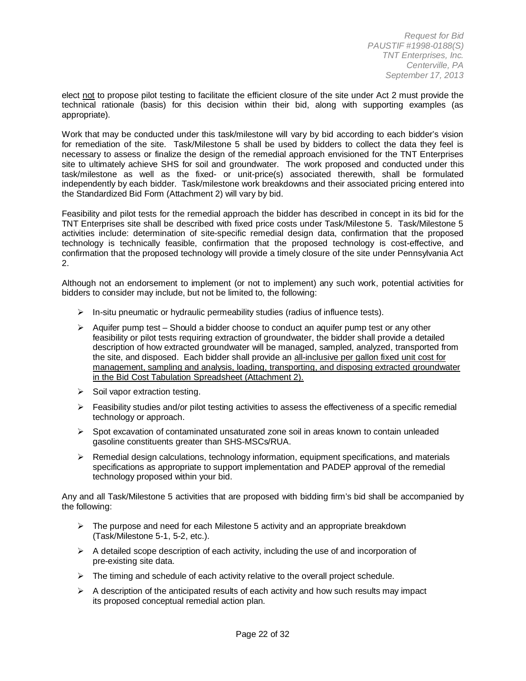elect not to propose pilot testing to facilitate the efficient closure of the site under Act 2 must provide the technical rationale (basis) for this decision within their bid, along with supporting examples (as appropriate).

Work that may be conducted under this task/milestone will vary by bid according to each bidder's vision for remediation of the site. Task/Milestone 5 shall be used by bidders to collect the data they feel is necessary to assess or finalize the design of the remedial approach envisioned for the TNT Enterprises site to ultimately achieve SHS for soil and groundwater. The work proposed and conducted under this task/milestone as well as the fixed- or unit-price(s) associated therewith, shall be formulated independently by each bidder. Task/milestone work breakdowns and their associated pricing entered into the Standardized Bid Form (Attachment 2) will vary by bid.

Feasibility and pilot tests for the remedial approach the bidder has described in concept in its bid for the TNT Enterprises site shall be described with fixed price costs under Task/Milestone 5. Task/Milestone 5 activities include: determination of site-specific remedial design data, confirmation that the proposed technology is technically feasible, confirmation that the proposed technology is cost-effective, and confirmation that the proposed technology will provide a timely closure of the site under Pennsylvania Act 2.

Although not an endorsement to implement (or not to implement) any such work, potential activities for bidders to consider may include, but not be limited to, the following:

- $\triangleright$  In-situ pneumatic or hydraulic permeability studies (radius of influence tests).
- $\triangleright$  Aquifer pump test Should a bidder choose to conduct an aquifer pump test or any other feasibility or pilot tests requiring extraction of groundwater, the bidder shall provide a detailed description of how extracted groundwater will be managed, sampled, analyzed, transported from the site, and disposed. Each bidder shall provide an all-inclusive per gallon fixed unit cost for management, sampling and analysis, loading, transporting, and disposing extracted groundwater in the Bid Cost Tabulation Spreadsheet (Attachment 2).
- $\triangleright$  Soil vapor extraction testing.
- $\triangleright$  Feasibility studies and/or pilot testing activities to assess the effectiveness of a specific remedial technology or approach.
- $\triangleright$  Spot excavation of contaminated unsaturated zone soil in areas known to contain unleaded gasoline constituents greater than SHS-MSCs/RUA.
- $\triangleright$  Remedial design calculations, technology information, equipment specifications, and materials specifications as appropriate to support implementation and PADEP approval of the remedial technology proposed within your bid.

Any and all Task/Milestone 5 activities that are proposed with bidding firm's bid shall be accompanied by the following:

- $\triangleright$  The purpose and need for each Milestone 5 activity and an appropriate breakdown (Task/Milestone 5-1, 5-2, etc.).
- $\triangleright$  A detailed scope description of each activity, including the use of and incorporation of pre-existing site data.
- $\triangleright$  The timing and schedule of each activity relative to the overall project schedule.
- $\triangleright$  A description of the anticipated results of each activity and how such results may impact its proposed conceptual remedial action plan.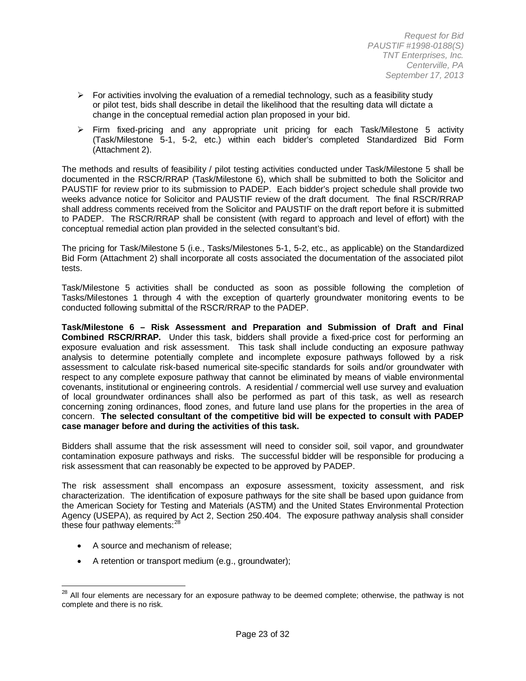- $\triangleright$  For activities involving the evaluation of a remedial technology, such as a feasibility study or pilot test, bids shall describe in detail the likelihood that the resulting data will dictate a change in the conceptual remedial action plan proposed in your bid.
- $\triangleright$  Firm fixed-pricing and any appropriate unit pricing for each Task/Milestone 5 activity (Task/Milestone 5-1, 5-2, etc.) within each bidder's completed Standardized Bid Form (Attachment 2).

The methods and results of feasibility / pilot testing activities conducted under Task/Milestone 5 shall be documented in the RSCR/RRAP (Task/Milestone 6), which shall be submitted to both the Solicitor and PAUSTIF for review prior to its submission to PADEP. Each bidder's project schedule shall provide two weeks advance notice for Solicitor and PAUSTIF review of the draft document. The final RSCR/RRAP shall address comments received from the Solicitor and PAUSTIF on the draft report before it is submitted to PADEP. The RSCR/RRAP shall be consistent (with regard to approach and level of effort) with the conceptual remedial action plan provided in the selected consultant's bid.

The pricing for Task/Milestone 5 (i.e., Tasks/Milestones 5-1, 5-2, etc., as applicable) on the Standardized Bid Form (Attachment 2) shall incorporate all costs associated the documentation of the associated pilot tests.

Task/Milestone 5 activities shall be conducted as soon as possible following the completion of Tasks/Milestones 1 through 4 with the exception of quarterly groundwater monitoring events to be conducted following submittal of the RSCR/RRAP to the PADEP.

**Task/Milestone 6 – Risk Assessment and Preparation and Submission of Draft and Final Combined RSCR/RRAP.** Under this task, bidders shall provide a fixed-price cost for performing an exposure evaluation and risk assessment. This task shall include conducting an exposure pathway analysis to determine potentially complete and incomplete exposure pathways followed by a risk assessment to calculate risk-based numerical site-specific standards for soils and/or groundwater with respect to any complete exposure pathway that cannot be eliminated by means of viable environmental covenants, institutional or engineering controls. A residential / commercial well use survey and evaluation of local groundwater ordinances shall also be performed as part of this task, as well as research concerning zoning ordinances, flood zones, and future land use plans for the properties in the area of concern. **The selected consultant of the competitive bid will be expected to consult with PADEP case manager before and during the activities of this task.**

Bidders shall assume that the risk assessment will need to consider soil, soil vapor, and groundwater contamination exposure pathways and risks. The successful bidder will be responsible for producing a risk assessment that can reasonably be expected to be approved by PADEP.

The risk assessment shall encompass an exposure assessment, toxicity assessment, and risk characterization. The identification of exposure pathways for the site shall be based upon guidance from the American Society for Testing and Materials (ASTM) and the United States Environmental Protection Agency (USEPA), as required by Act 2, Section 250.404. The exposure pathway analysis shall consider these four pathway elements: $28$ 

- A source and mechanism of release;
- A retention or transport medium (e.g., groundwater);

<span id="page-22-0"></span><sup>&</sup>lt;sup>28</sup> All four elements are necessary for an exposure pathway to be deemed complete; otherwise, the pathway is not complete and there is no risk.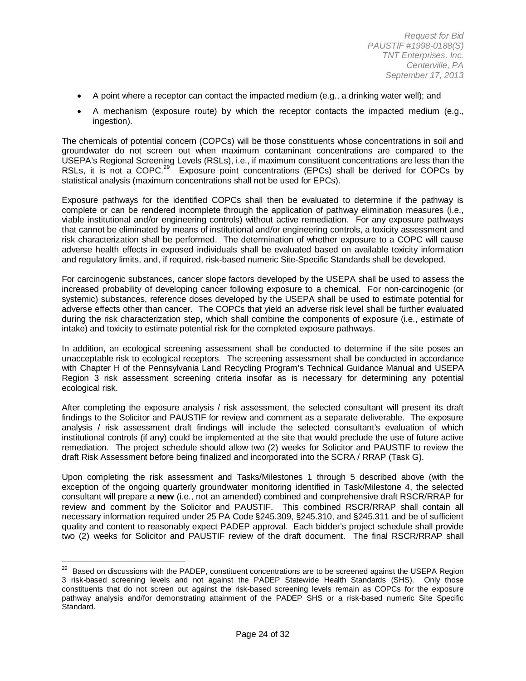- A point where a receptor can contact the impacted medium (e.g., a drinking water well); and
- A mechanism (exposure route) by which the receptor contacts the impacted medium (e.g., ingestion).

The chemicals of potential concern (COPCs) will be those constituents whose concentrations in soil and groundwater do not screen out when maximum contaminant concentrations are compared to the USEPA's Regional Screening Levels (RSLs), i.e., if maximum constituent concentrations are less than the RSLs, it is not a COPC.<sup>29</sup> Exposure point concentrations (EPCs) shall be derived for COPCs by statistical analysis (maximum concentrations shall not be used for EPCs).

Exposure pathways for the identified COPCs shall then be evaluated to determine if the pathway is complete or can be rendered incomplete through the application of pathway elimination measures (i.e., viable institutional and/or engineering controls) without active remediation. For any exposure pathways that cannot be eliminated by means of institutional and/or engineering controls, a toxicity assessment and risk characterization shall be performed. The determination of whether exposure to a COPC will cause adverse health effects in exposed individuals shall be evaluated based on available toxicity information and regulatory limits, and, if required, risk-based numeric Site-Specific Standards shall be developed.

For carcinogenic substances, cancer slope factors developed by the USEPA shall be used to assess the increased probability of developing cancer following exposure to a chemical. For non-carcinogenic (or systemic) substances, reference doses developed by the USEPA shall be used to estimate potential for adverse effects other than cancer. The COPCs that yield an adverse risk level shall be further evaluated during the risk characterization step, which shall combine the components of exposure (i.e., estimate of intake) and toxicity to estimate potential risk for the completed exposure pathways.

In addition, an ecological screening assessment shall be conducted to determine if the site poses an unacceptable risk to ecological receptors. The screening assessment shall be conducted in accordance with Chapter H of the Pennsylvania Land Recycling Program's Technical Guidance Manual and USEPA Region 3 risk assessment screening criteria insofar as is necessary for determining any potential ecological risk.

After completing the exposure analysis / risk assessment, the selected consultant will present its draft findings to the Solicitor and PAUSTIF for review and comment as a separate deliverable. The exposure analysis / risk assessment draft findings will include the selected consultant's evaluation of which institutional controls (if any) could be implemented at the site that would preclude the use of future active remediation. The project schedule should allow two (2) weeks for Solicitor and PAUSTIF to review the draft Risk Assessment before being finalized and incorporated into the SCRA / RRAP (Task G).

Upon completing the risk assessment and Tasks/Milestones 1 through 5 described above (with the exception of the ongoing quarterly groundwater monitoring identified in Task/Milestone 4, the selected consultant will prepare a **new** (i.e., not an amended) combined and comprehensive draft RSCR/RRAP for review and comment by the Solicitor and PAUSTIF. This combined RSCR/RRAP shall contain all necessary information required under 25 PA Code §245.309, §245.310, and §245.311 and be of sufficient quality and content to reasonably expect PADEP approval. Each bidder's project schedule shall provide two (2) weeks for Solicitor and PAUSTIF review of the draft document. The final RSCR/RRAP shall

<span id="page-23-0"></span><sup>&</sup>lt;sup>29</sup> Based on discussions with the PADEP, constituent concentrations are to be screened against the USEPA Region 3 risk-based screening levels and not against the PADEP Statewide Health Standards (SHS). Only those constituents that do not screen out against the risk-based screening levels remain as COPCs for the exposure pathway analysis and/for demonstrating attainment of the PADEP SHS or a risk-based numeric Site Specific Standard.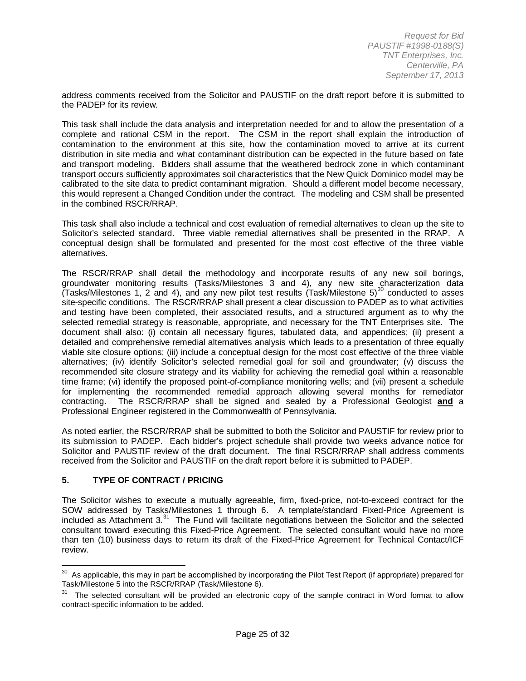address comments received from the Solicitor and PAUSTIF on the draft report before it is submitted to the PADEP for its review.

This task shall include the data analysis and interpretation needed for and to allow the presentation of a complete and rational CSM in the report. The CSM in the report shall explain the introduction of contamination to the environment at this site, how the contamination moved to arrive at its current distribution in site media and what contaminant distribution can be expected in the future based on fate and transport modeling. Bidders shall assume that the weathered bedrock zone in which contaminant transport occurs sufficiently approximates soil characteristics that the New Quick Dominico model may be calibrated to the site data to predict contaminant migration. Should a different model become necessary, this would represent a Changed Condition under the contract. The modeling and CSM shall be presented in the combined RSCR/RRAP.

This task shall also include a technical and cost evaluation of remedial alternatives to clean up the site to Solicitor's selected standard. Three viable remedial alternatives shall be presented in the RRAP. A conceptual design shall be formulated and presented for the most cost effective of the three viable alternatives.

The RSCR/RRAP shall detail the methodology and incorporate results of any new soil borings, groundwater monitoring results (Tasks/Milestones 3 and 4), any new site characterization data (Tasks/Milestones 1, 2 and 4), and any new pilot test results (Task/Milestone 5)<sup>[30](#page-23-0)</sup> conducted to asses site-specific conditions. The RSCR/RRAP shall present a clear discussion to PADEP as to what activities and testing have been completed, their associated results, and a structured argument as to why the selected remedial strategy is reasonable, appropriate, and necessary for the TNT Enterprises site. The document shall also: (i) contain all necessary figures, tabulated data, and appendices; (ii) present a detailed and comprehensive remedial alternatives analysis which leads to a presentation of three equally viable site closure options; (iii) include a conceptual design for the most cost effective of the three viable alternatives; (iv) identify Solicitor's selected remedial goal for soil and groundwater; (v) discuss the recommended site closure strategy and its viability for achieving the remedial goal within a reasonable time frame; (vi) identify the proposed point-of-compliance monitoring wells; and (vii) present a schedule for implementing the recommended remedial approach allowing several months for remediator contracting. The RSCR/RRAP shall be signed and sealed by a Professional Geologist **and** a Professional Engineer registered in the Commonwealth of Pennsylvania.

As noted earlier, the RSCR/RRAP shall be submitted to both the Solicitor and PAUSTIF for review prior to its submission to PADEP. Each bidder's project schedule shall provide two weeks advance notice for Solicitor and PAUSTIF review of the draft document. The final RSCR/RRAP shall address comments received from the Solicitor and PAUSTIF on the draft report before it is submitted to PADEP.

#### **5. TYPE OF CONTRACT / PRICING**

The Solicitor wishes to execute a mutually agreeable, firm, fixed-price, not-to-exceed contract for the SOW addressed by Tasks/Milestones 1 through 6. A template/standard Fixed-Price Agreement is included as Attachment 3.<sup>[31](#page-24-0)</sup> The Fund will facilitate negotiations between the Solicitor and the selected consultant toward executing this Fixed-Price Agreement. The selected consultant would have no more than ten (10) business days to return its draft of the Fixed-Price Agreement for Technical Contact/ICF review.

 $30$  As applicable, this may in part be accomplished by incorporating the Pilot Test Report (if appropriate) prepared for Task/Milestone 5 into the RSCR/RRAP (Task/Milestone 6).

<span id="page-24-1"></span><span id="page-24-0"></span><sup>&</sup>lt;sup>31</sup> The selected consultant will be provided an electronic copy of the sample contract in Word format to allow contract-specific information to be added.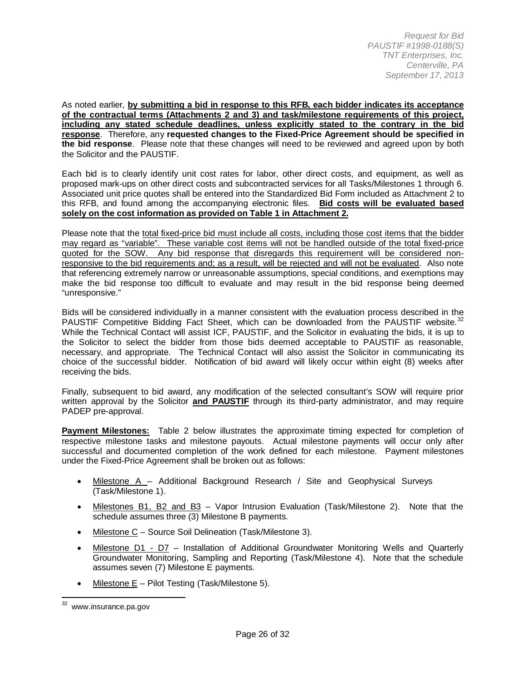As noted earlier, **by submitting a bid in response to this RFB, each bidder indicates its acceptance of the contractual terms (Attachments 2 and 3) and task/milestone requirements of this project, including any stated schedule deadlines, unless explicitly stated to the contrary in the bid response**. Therefore, any **requested changes to the Fixed-Price Agreement should be specified in the bid response**. Please note that these changes will need to be reviewed and agreed upon by both the Solicitor and the PAUSTIF.

Each bid is to clearly identify unit cost rates for labor, other direct costs, and equipment, as well as proposed mark-ups on other direct costs and subcontracted services for all Tasks/Milestones 1 through 6. Associated unit price quotes shall be entered into the Standardized Bid Form included as Attachment 2 to this RFB, and found among the accompanying electronic files. **Bid costs will be evaluated based solely on the cost information as provided on Table 1 in Attachment 2.**

Please note that the total fixed-price bid must include all costs, including those cost items that the bidder may regard as "variable". These variable cost items will not be handled outside of the total fixed-price quoted for the SOW. Any bid response that disregards this requirement will be considered nonresponsive to the bid requirements and; as a result, will be rejected and will not be evaluated. Also note that referencing extremely narrow or unreasonable assumptions, special conditions, and exemptions may make the bid response too difficult to evaluate and may result in the bid response being deemed "unresponsive."

Bids will be considered individually in a manner consistent with the evaluation process described in the PAUSTIF Competitive Bidding Fact Sheet, which can be downloaded from the PAUSTIF website.<sup>[32](#page-24-1)</sup> While the Technical Contact will assist ICF, PAUSTIF, and the Solicitor in evaluating the bids, it is up to the Solicitor to select the bidder from those bids deemed acceptable to PAUSTIF as reasonable, necessary, and appropriate. The Technical Contact will also assist the Solicitor in communicating its choice of the successful bidder. Notification of bid award will likely occur within eight (8) weeks after receiving the bids.

Finally, subsequent to bid award, any modification of the selected consultant's SOW will require prior written approval by the Solicitor **and PAUSTIF** through its third-party administrator, and may require PADEP pre-approval.

**Payment Milestones:** Table 2 below illustrates the approximate timing expected for completion of respective milestone tasks and milestone payouts. Actual milestone payments will occur only after successful and documented completion of the work defined for each milestone. Payment milestones under the Fixed-Price Agreement shall be broken out as follows:

- **Milestone A** Additional Background Research / Site and Geophysical Surveys (Task/Milestone 1).
- Milestones B1, B2 and B3 Vapor Intrusion Evaluation (Task/Milestone 2). Note that the schedule assumes three (3) Milestone B payments.
- Milestone C Source Soil Delineation (Task/Milestone 3).
- Milestone D1 D7 Installation of Additional Groundwater Monitoring Wells and Quarterly Groundwater Monitoring, Sampling and Reporting (Task/Milestone 4). Note that the schedule assumes seven (7) Milestone E payments.
- Milestone  $E -$  Pilot Testing (Task/Milestone 5).

<span id="page-25-0"></span><sup>&</sup>lt;sup>32</sup> www.insurance.pa.gov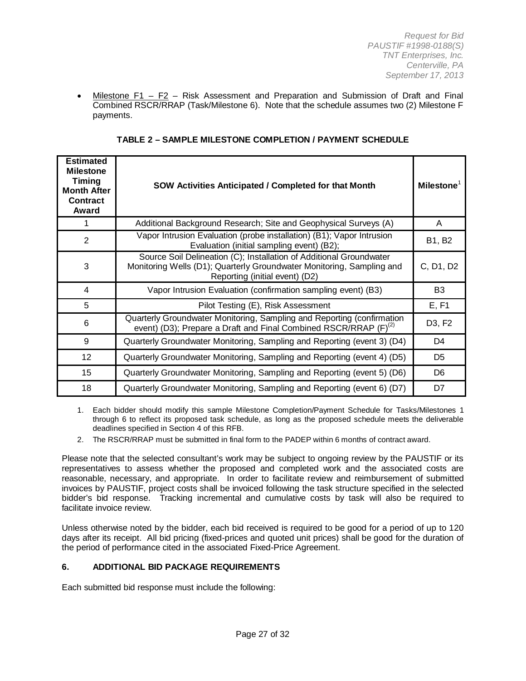• Milestone F1 – F2 – Risk Assessment and Preparation and Submission of Draft and Final Combined RSCR/RRAP (Task/Milestone 6). Note that the schedule assumes two (2) Milestone F payments.

| <b>Estimated</b><br><b>Milestone</b><br><b>Timing</b><br><b>Month After</b><br><b>Contract</b><br>Award | <b>SOW Activities Anticipated / Completed for that Month</b>                                                                                                                   | <b>Milestone</b> |
|---------------------------------------------------------------------------------------------------------|--------------------------------------------------------------------------------------------------------------------------------------------------------------------------------|------------------|
|                                                                                                         | Additional Background Research; Site and Geophysical Surveys (A)                                                                                                               | A                |
| $\overline{2}$                                                                                          | Vapor Intrusion Evaluation (probe installation) (B1); Vapor Intrusion<br>Evaluation (initial sampling event) (B2);                                                             | <b>B1, B2</b>    |
| 3                                                                                                       | Source Soil Delineation (C); Installation of Additional Groundwater<br>Monitoring Wells (D1); Quarterly Groundwater Monitoring, Sampling and<br>Reporting (initial event) (D2) | C, D1, D2        |
| $\overline{4}$                                                                                          | Vapor Intrusion Evaluation (confirmation sampling event) (B3)                                                                                                                  | B <sub>3</sub>   |
| 5                                                                                                       | Pilot Testing (E), Risk Assessment                                                                                                                                             | E, F1            |
| 6                                                                                                       | Quarterly Groundwater Monitoring, Sampling and Reporting (confirmation<br>event) (D3); Prepare a Draft and Final Combined RSCR/RRAP (F) <sup>(2)</sup>                         | D3, F2           |
| 9                                                                                                       | Quarterly Groundwater Monitoring, Sampling and Reporting (event 3) (D4)                                                                                                        | D4               |
| 12                                                                                                      | Quarterly Groundwater Monitoring, Sampling and Reporting (event 4) (D5)                                                                                                        | D5               |
| 15                                                                                                      | Quarterly Groundwater Monitoring, Sampling and Reporting (event 5) (D6)                                                                                                        | D <sub>6</sub>   |
| 18                                                                                                      | Quarterly Groundwater Monitoring, Sampling and Reporting (event 6) (D7)                                                                                                        | D7               |

**TABLE 2 – SAMPLE MILESTONE COMPLETION / PAYMENT SCHEDULE**

1. Each bidder should modify this sample Milestone Completion/Payment Schedule for Tasks/Milestones 1 through 6 to reflect its proposed task schedule, as long as the proposed schedule meets the deliverable deadlines specified in Section 4 of this RFB.

2. The RSCR/RRAP must be submitted in final form to the PADEP within 6 months of contract award.

Please note that the selected consultant's work may be subject to ongoing review by the PAUSTIF or its representatives to assess whether the proposed and completed work and the associated costs are reasonable, necessary, and appropriate. In order to facilitate review and reimbursement of submitted invoices by PAUSTIF, project costs shall be invoiced following the task structure specified in the selected bidder's bid response. Tracking incremental and cumulative costs by task will also be required to facilitate invoice review.

Unless otherwise noted by the bidder, each bid received is required to be good for a period of up to 120 days after its receipt. All bid pricing (fixed-prices and quoted unit prices) shall be good for the duration of the period of performance cited in the associated Fixed-Price Agreement.

## **6. ADDITIONAL BID PACKAGE REQUIREMENTS**

Each submitted bid response must include the following: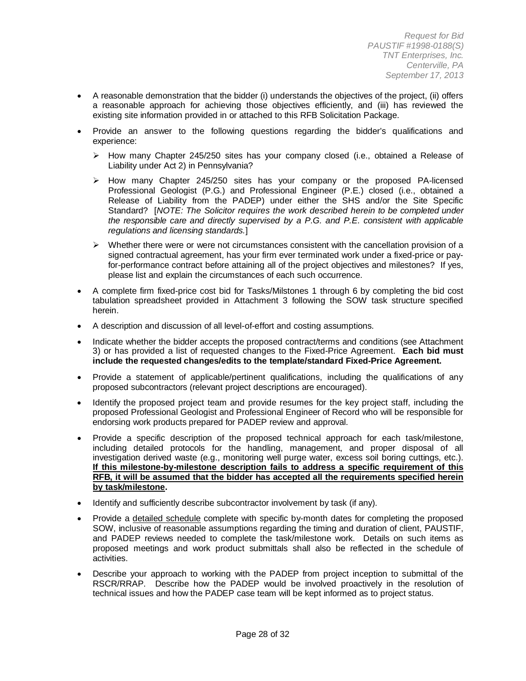- A reasonable demonstration that the bidder (i) understands the objectives of the project, (ii) offers a reasonable approach for achieving those objectives efficiently, and (iii) has reviewed the existing site information provided in or attached to this RFB Solicitation Package.
- Provide an answer to the following questions regarding the bidder's qualifications and experience:
	- $\triangleright$  How many Chapter 245/250 sites has your company closed (i.e., obtained a Release of Liability under Act 2) in Pennsylvania?
	- $\triangleright$  How many Chapter 245/250 sites has your company or the proposed PA-licensed Professional Geologist (P.G.) and Professional Engineer (P.E.) closed (i.e., obtained a Release of Liability from the PADEP) under either the SHS and/or the Site Specific Standard? [*NOTE: The Solicitor requires the work described herein to be completed under the responsible care and directly supervised by a P.G. and P.E. consistent with applicable regulations and licensing standards.*]
	- $\triangleright$  Whether there were or were not circumstances consistent with the cancellation provision of a signed contractual agreement, has your firm ever terminated work under a fixed-price or payfor-performance contract before attaining all of the project objectives and milestones? If yes, please list and explain the circumstances of each such occurrence.
- A complete firm fixed-price cost bid for Tasks/Milstones 1 through 6 by completing the bid cost tabulation spreadsheet provided in Attachment 3 following the SOW task structure specified herein.
- A description and discussion of all level-of-effort and costing assumptions.
- Indicate whether the bidder accepts the proposed contract/terms and conditions (see Attachment 3) or has provided a list of requested changes to the Fixed-Price Agreement. **Each bid must include the requested changes/edits to the template/standard Fixed-Price Agreement.**
- Provide a statement of applicable/pertinent qualifications, including the qualifications of any proposed subcontractors (relevant project descriptions are encouraged).
- Identify the proposed project team and provide resumes for the key project staff, including the proposed Professional Geologist and Professional Engineer of Record who will be responsible for endorsing work products prepared for PADEP review and approval.
- Provide a specific description of the proposed technical approach for each task/milestone, including detailed protocols for the handling, management, and proper disposal of all investigation derived waste (e.g., monitoring well purge water, excess soil boring cuttings, etc.). **If this milestone-by-milestone description fails to address a specific requirement of this RFB, it will be assumed that the bidder has accepted all the requirements specified herein by task/milestone.**
- Identify and sufficiently describe subcontractor involvement by task (if any).
- Provide a detailed schedule complete with specific by-month dates for completing the proposed SOW, inclusive of reasonable assumptions regarding the timing and duration of client, PAUSTIF, and PADEP reviews needed to complete the task/milestone work. Details on such items as proposed meetings and work product submittals shall also be reflected in the schedule of activities.
- Describe your approach to working with the PADEP from project inception to submittal of the RSCR/RRAP. Describe how the PADEP would be involved proactively in the resolution of technical issues and how the PADEP case team will be kept informed as to project status.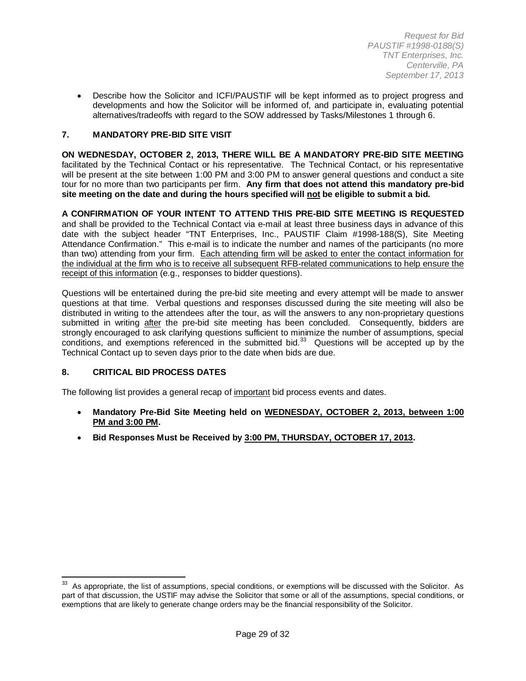• Describe how the Solicitor and ICFI/PAUSTIF will be kept informed as to project progress and developments and how the Solicitor will be informed of, and participate in, evaluating potential alternatives/tradeoffs with regard to the SOW addressed by Tasks/Milestones 1 through 6.

### **7. MANDATORY PRE-BID SITE VISIT**

**ON WEDNESDAY, OCTOBER 2, 2013, THERE WILL BE A MANDATORY PRE-BID SITE MEETING** facilitated by the Technical Contact or his representative. The Technical Contact, or his representative will be present at the site between 1:00 PM and 3:00 PM to answer general questions and conduct a site tour for no more than two participants per firm. **Any firm that does not attend this mandatory pre-bid site meeting on the date and during the hours specified will not be eligible to submit a bid.**

**A CONFIRMATION OF YOUR INTENT TO ATTEND THIS PRE-BID SITE MEETING IS REQUESTED** and shall be provided to the Technical Contact via e-mail at least three business days in advance of this date with the subject header "TNT Enterprises, Inc., PAUSTIF Claim #1998-188(S), Site Meeting Attendance Confirmation." This e-mail is to indicate the number and names of the participants (no more than two) attending from your firm. Each attending firm will be asked to enter the contact information for the individual at the firm who is to receive all subsequent RFB-related communications to help ensure the receipt of this information (e.g., responses to bidder questions).

Questions will be entertained during the pre-bid site meeting and every attempt will be made to answer questions at that time. Verbal questions and responses discussed during the site meeting will also be distributed in writing to the attendees after the tour, as will the answers to any non-proprietary questions submitted in writing after the pre-bid site meeting has been concluded. Consequently, bidders are strongly encouraged to ask clarifying questions sufficient to minimize the number of assumptions, special conditions, and exemptions referenced in the submitted bid.<sup>33</sup> Questions will be accepted up by the Technical Contact up to seven days prior to the date when bids are due.

#### **8. CRITICAL BID PROCESS DATES**

The following list provides a general recap of important bid process events and dates.

- **Mandatory Pre-Bid Site Meeting held on WEDNESDAY, OCTOBER 2, 2013, between 1:00 PM and 3:00 PM.**
- **Bid Responses Must be Received by 3:00 PM, THURSDAY, OCTOBER 17, 2013.**

As appropriate, the list of assumptions, special conditions, or exemptions will be discussed with the Solicitor. As part of that discussion, the USTIF may advise the Solicitor that some or all of the assumptions, special conditions, or exemptions that are likely to generate change orders may be the financial responsibility of the Solicitor.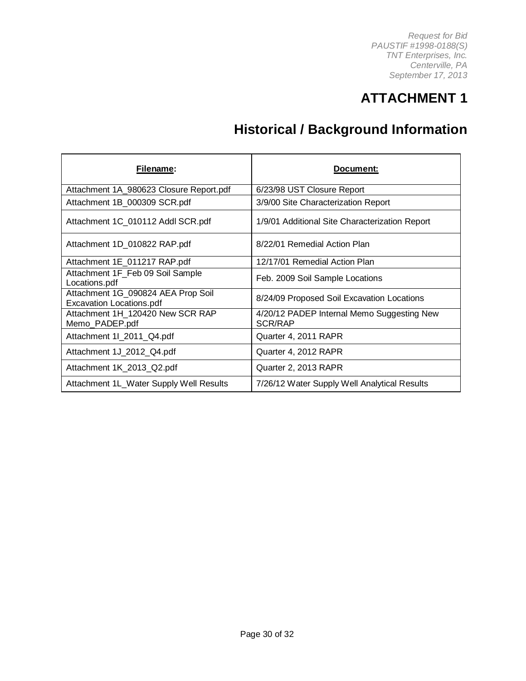# **ATTACHMENT 1**

# **Historical / Background Information**

| Filename:                                                             | Document:                                                    |
|-----------------------------------------------------------------------|--------------------------------------------------------------|
| Attachment 1A_980623 Closure Report.pdf                               | 6/23/98 UST Closure Report                                   |
| Attachment 1B_000309 SCR.pdf                                          | 3/9/00 Site Characterization Report                          |
| Attachment 1C_010112 Addl SCR.pdf                                     | 1/9/01 Additional Site Characterization Report               |
| Attachment 1D_010822 RAP.pdf                                          | 8/22/01 Remedial Action Plan                                 |
| Attachment 1E_011217 RAP.pdf                                          | 12/17/01 Remedial Action Plan                                |
| Attachment 1F_Feb 09 Soil Sample<br>Locations.pdf                     | Feb. 2009 Soil Sample Locations                              |
| Attachment 1G_090824 AEA Prop Soil<br><b>Excavation Locations.pdf</b> | 8/24/09 Proposed Soil Excavation Locations                   |
| Attachment 1H 120420 New SCR RAP<br>Memo_PADEP.pdf                    | 4/20/12 PADEP Internal Memo Suggesting New<br><b>SCR/RAP</b> |
| Attachment 1I_2011_Q4.pdf                                             | Quarter 4, 2011 RAPR                                         |
| Attachment 1J_2012_Q4.pdf                                             | Quarter 4, 2012 RAPR                                         |
| Attachment 1K_2013_Q2.pdf                                             | Quarter 2, 2013 RAPR                                         |
| Attachment 1L_Water Supply Well Results                               | 7/26/12 Water Supply Well Analytical Results                 |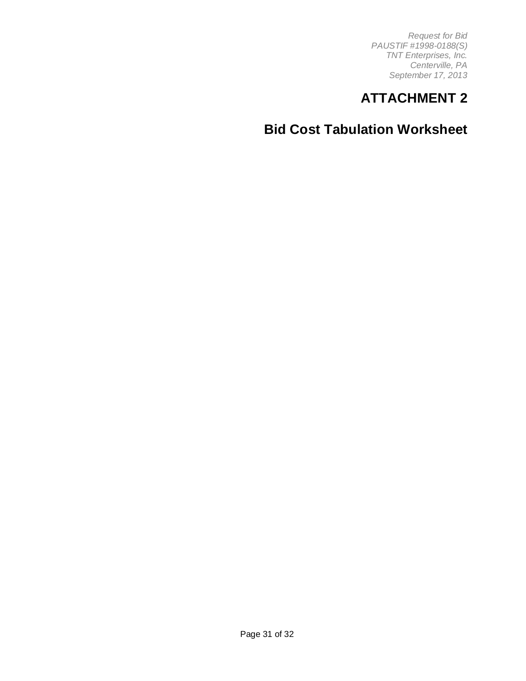# **ATTACHMENT 2**

**Bid Cost Tabulation Worksheet**